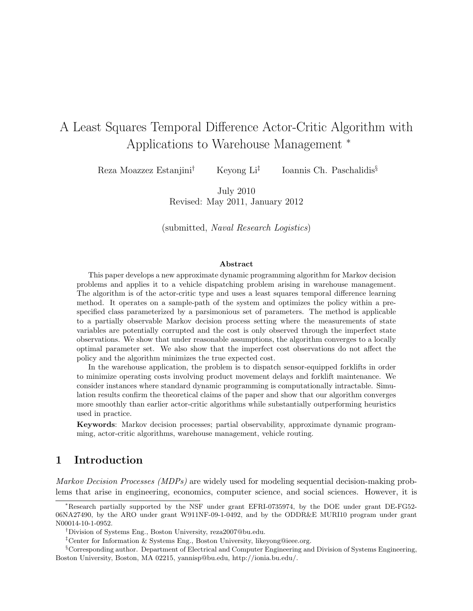# A Least Squares Temporal Difference Actor-Critic Algorithm with Applications to Warehouse Management <sup>∗</sup>

Reza Moazzez Estanjini† Keyong Li‡ Ioannis Ch. Paschalidis§

> July 2010 Revised: May 2011, January 2012

(submitted, Naval Research Logistics)

#### Abstract

This paper develops a new approximate dynamic programming algorithm for Markov decision problems and applies it to a vehicle dispatching problem arising in warehouse management. The algorithm is of the actor-critic type and uses a least squares temporal difference learning method. It operates on a sample-path of the system and optimizes the policy within a prespecified class parameterized by a parsimonious set of parameters. The method is applicable to a partially observable Markov decision process setting where the measurements of state variables are potentially corrupted and the cost is only observed through the imperfect state observations. We show that under reasonable assumptions, the algorithm converges to a locally optimal parameter set. We also show that the imperfect cost observations do not affect the policy and the algorithm minimizes the true expected cost.

In the warehouse application, the problem is to dispatch sensor-equipped forklifts in order to minimize operating costs involving product movement delays and forklift maintenance. We consider instances where standard dynamic programming is computationally intractable. Simulation results confirm the theoretical claims of the paper and show that our algorithm converges more smoothly than earlier actor-critic algorithms while substantially outperforming heuristics used in practice.

Keywords: Markov decision processes; partial observability, approximate dynamic programming, actor-critic algorithms, warehouse management, vehicle routing.

### 1 Introduction

*Markov Decision Processes (MDPs)* are widely used for modeling sequential decision-making problems that arise in engineering, economics, computer science, and social sciences. However, it is

<sup>∗</sup>Research partially supported by the NSF under grant EFRI-0735974, by the DOE under grant DE-FG52- 06NA27490, by the ARO under grant W911NF-09-1-0492, and by the ODDR&E MURI10 program under grant N00014-10-1-0952.

<sup>†</sup>Division of Systems Eng., Boston University, reza2007@bu.edu.

<sup>‡</sup>Center for Information & Systems Eng., Boston University, likeyong@ieee.org.

<sup>§</sup>Corresponding author. Department of Electrical and Computer Engineering and Division of Systems Engineering, Boston University, Boston, MA 02215, yannisp@bu.edu, http://ionia.bu.edu/.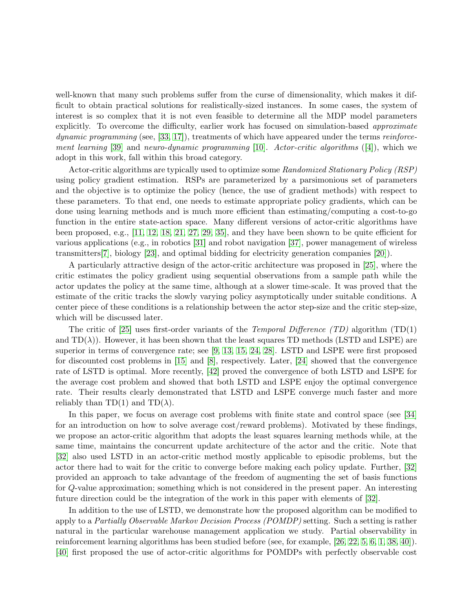well-known that many such problems suffer from the curse of dimensionality, which makes it difficult to obtain practical solutions for realistically-sized instances. In some cases, the system of interest is so complex that it is not even feasible to determine all the MDP model parameters explicitly. To overcome the difficulty, earlier work has focused on simulation-based *approximate dynamic programming* (see, [\[33,](#page-25-0) [17\]](#page-24-0)), treatments of which have appeared under the terms *reinforcement learning* [\[39\]](#page-25-1) and *neuro-dynamic programming* [\[10\]](#page-24-1). *Actor-critic algorithms* ([\[4\]](#page-23-0)), which we adopt in this work, fall within this broad category.

Actor-critic algorithms are typically used to optimize some *Randomized Stationary Policy (RSP)* using policy gradient estimation. RSPs are parameterized by a parsimonious set of parameters and the objective is to optimize the policy (hence, the use of gradient methods) with respect to these parameters. To that end, one needs to estimate appropriate policy gradients, which can be done using learning methods and is much more efficient than estimating/computing a cost-to-go function in the entire state-action space. Many different versions of actor-critic algorithms have been proposed, e.g., [\[11,](#page-24-2) [12,](#page-24-3) [18,](#page-24-4) [21,](#page-24-5) [27,](#page-25-2) [29,](#page-25-3) [35\]](#page-25-4), and they have been shown to be quite efficient for various applications (e.g., in robotics [\[31\]](#page-25-5) and robot navigation [\[37\]](#page-25-6), power management of wireless transmitters[\[7\]](#page-23-1), biology [\[23\]](#page-24-6), and optimal bidding for electricity generation companies [\[20\]](#page-24-7)).

A particularly attractive design of the actor-critic architecture was proposed in [\[25\]](#page-25-7), where the critic estimates the policy gradient using sequential observations from a sample path while the actor updates the policy at the same time, although at a slower time-scale. It was proved that the estimate of the critic tracks the slowly varying policy asymptotically under suitable conditions. A center piece of these conditions is a relationship between the actor step-size and the critic step-size, which will be discussed later.

The critic of [\[25\]](#page-25-7) uses first-order variants of the *Temporal Difference (TD)* algorithm (TD(1) and  $TD(\lambda)$ ). However, it has been shown that the least squares TD methods (LSTD and LSPE) are superior in terms of convergence rate; see [\[9,](#page-24-8) [13,](#page-24-9) [15,](#page-24-10) [24,](#page-24-11) [28\]](#page-25-8). LSTD and LSPE were first proposed for discounted cost problems in [\[15\]](#page-24-10) and [\[8\]](#page-23-2), respectively. Later, [\[24\]](#page-24-11) showed that the convergence rate of LSTD is optimal. More recently, [\[42\]](#page-26-0) proved the convergence of both LSTD and LSPE for the average cost problem and showed that both LSTD and LSPE enjoy the optimal convergence rate. Their results clearly demonstrated that LSTD and LSPE converge much faster and more reliably than TD(1) and TD( $\lambda$ ).

In this paper, we focus on average cost problems with finite state and control space (see [\[34\]](#page-25-9) for an introduction on how to solve average cost/reward problems). Motivated by these findings, we propose an actor-critic algorithm that adopts the least squares learning methods while, at the same time, maintains the concurrent update architecture of the actor and the critic. Note that [\[32\]](#page-25-10) also used LSTD in an actor-critic method mostly applicable to episodic problems, but the actor there had to wait for the critic to converge before making each policy update. Further, [\[32\]](#page-25-10) provided an approach to take advantage of the freedom of augmenting the set of basis functions for Q-value approximation; something which is not considered in the present paper. An interesting future direction could be the integration of the work in this paper with elements of [\[32\]](#page-25-10).

In addition to the use of LSTD, we demonstrate how the proposed algorithm can be modified to apply to a *Partially Observable Markov Decision Process (POMDP)* setting. Such a setting is rather natural in the particular warehouse management application we study. Partial observability in reinforcement learning algorithms has been studied before (see, for example, [\[26,](#page-25-11) [22,](#page-24-12) [5,](#page-23-3) [6,](#page-23-4) [1,](#page-23-5) [38,](#page-25-12) [40\]](#page-25-13)). [\[40\]](#page-25-13) first proposed the use of actor-critic algorithms for POMDPs with perfectly observable cost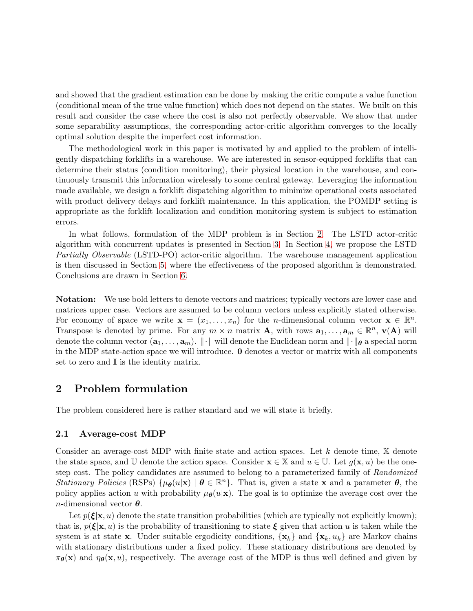and showed that the gradient estimation can be done by making the critic compute a value function (conditional mean of the true value function) which does not depend on the states. We built on this result and consider the case where the cost is also not perfectly observable. We show that under some separability assumptions, the corresponding actor-critic algorithm converges to the locally optimal solution despite the imperfect cost information.

The methodological work in this paper is motivated by and applied to the problem of intelligently dispatching forklifts in a warehouse. We are interested in sensor-equipped forklifts that can determine their status (condition monitoring), their physical location in the warehouse, and continuously transmit this information wirelessly to some central gateway. Leveraging the information made available, we design a forklift dispatching algorithm to minimize operational costs associated with product delivery delays and forklift maintenance. In this application, the POMDP setting is appropriate as the forklift localization and condition monitoring system is subject to estimation errors.

In what follows, formulation of the MDP problem is in Section [2.](#page-2-0) The LSTD actor-critic algorithm with concurrent updates is presented in Section [3.](#page-4-0) In Section [4,](#page-6-0) we propose the LSTD *Partially Observable* (LSTD-PO) actor-critic algorithm. The warehouse management application is then discussed in Section [5,](#page-8-0) where the effectiveness of the proposed algorithm is demonstrated. Conclusions are drawn in Section [6.](#page-17-0)

Notation: We use bold letters to denote vectors and matrices; typically vectors are lower case and matrices upper case. Vectors are assumed to be column vectors unless explicitly stated otherwise. For economy of space we write  $\mathbf{x} = (x_1, \dots, x_n)$  for the *n*-dimensional column vector  $\mathbf{x} \in \mathbb{R}^n$ . Transpose is denoted by prime. For any  $m \times n$  matrix **A**, with rows  $a_1, \ldots, a_m \in \mathbb{R}^n$ ,  $\mathbf{v}(\mathbf{A})$  will denote the column vector  $(a_1, \ldots, a_m)$ .  $\|\cdot\|$  will denote the Euclidean norm and  $\|\cdot\|_{\theta}$  a special norm in the MDP state-action space we will introduce. 0 denotes a vector or matrix with all components set to zero and I is the identity matrix.

## <span id="page-2-0"></span>2 Problem formulation

The problem considered here is rather standard and we will state it briefly.

#### 2.1 Average-cost MDP

Consider an average-cost MDP with finite state and action spaces. Let  $k$  denote time,  $\mathbb X$  denote the state space, and U denote the action space. Consider  $\mathbf{x} \in \mathbb{X}$  and  $u \in \mathbb{U}$ . Let  $g(\mathbf{x}, u)$  be the onestep cost. The policy candidates are assumed to belong to a parameterized family of *Randomized Stationary Policies* (RSPs)  $\{\mu_{\theta}(u|\mathbf{x}) \mid \theta \in \mathbb{R}^n\}$ . That is, given a state **x** and a parameter  $\theta$ , the policy applies action u with probability  $\mu_{\theta}(u|\mathbf{x})$ . The goal is to optimize the average cost over the *n*-dimensional vector  $\boldsymbol{\theta}$ .

Let  $p(\boldsymbol{\xi}|\mathbf{x}, u)$  denote the state transition probabilities (which are typically not explicitly known); that is,  $p(\boldsymbol{\xi}|\mathbf{x}, u)$  is the probability of transitioning to state  $\boldsymbol{\xi}$  given that action u is taken while the system is at state **x**. Under suitable ergodicity conditions,  $\{x_k\}$  and  $\{x_k, u_k\}$  are Markov chains with stationary distributions under a fixed policy. These stationary distributions are denoted by  $\pi_{\theta}(\mathbf{x})$  and  $\eta_{\theta}(\mathbf{x}, u)$ , respectively. The average cost of the MDP is thus well defined and given by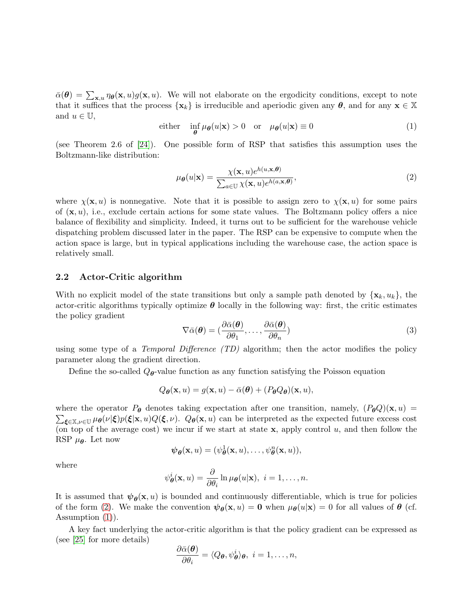<span id="page-3-1"></span> $\bar{\alpha}(\theta) = \sum_{\mathbf{x},u} \eta_{\theta}(\mathbf{x},u) g(\mathbf{x},u)$ . We will not elaborate on the ergodicity conditions, except to note that it suffices that the process  $\{x_k\}$  is irreducible and aperiodic given any  $\theta$ , and for any  $x \in \mathbb{X}$ and  $u \in \mathbb{U}$ ,

either 
$$
\inf_{\theta} \mu_{\theta}(u|\mathbf{x}) > 0
$$
 or  $\mu_{\theta}(u|\mathbf{x}) \equiv 0$  (1)

(see Theorem 2.6 of [\[24\]](#page-24-11)). One possible form of RSP that satisfies this assumption uses the Boltzmann-like distribution:

<span id="page-3-0"></span>
$$
\mu_{\theta}(u|\mathbf{x}) = \frac{\chi(\mathbf{x}, u)e^{h(u, \mathbf{x}, \theta)}}{\sum_{a \in \mathbb{U}} \chi(\mathbf{x}, u)e^{h(a, \mathbf{x}, \theta)}},\tag{2}
$$

where  $\chi(\mathbf{x}, u)$  is nonnegative. Note that it is possible to assign zero to  $\chi(\mathbf{x}, u)$  for some pairs of  $(x, u)$ , i.e., exclude certain actions for some state values. The Boltzmann policy offers a nice balance of flexibility and simplicity. Indeed, it turns out to be sufficient for the warehouse vehicle dispatching problem discussed later in the paper. The RSP can be expensive to compute when the action space is large, but in typical applications including the warehouse case, the action space is relatively small.

### 2.2 Actor-Critic algorithm

With no explicit model of the state transitions but only a sample path denoted by  $\{x_k, u_k\}$ , the actor-critic algorithms typically optimize  $\theta$  locally in the following way: first, the critic estimates the policy gradient

$$
\nabla \bar{\alpha}(\boldsymbol{\theta}) = (\frac{\partial \bar{\alpha}(\boldsymbol{\theta})}{\partial \theta_1}, \dots, \frac{\partial \bar{\alpha}(\boldsymbol{\theta})}{\partial \theta_n})
$$
\n(3)

using some type of a *Temporal Difference (TD)* algorithm; then the actor modifies the policy parameter along the gradient direction.

Define the so-called  $Q_{\theta}$ -value function as any function satisfying the Poisson equation

$$
Q_{\boldsymbol{\theta}}(\mathbf{x},u) = g(\mathbf{x},u) - \bar{\alpha}(\boldsymbol{\theta}) + (P_{\boldsymbol{\theta}}Q_{\boldsymbol{\theta}})(\mathbf{x},u),
$$

where the operator  $P_{\theta}$  denotes taking expectation after one transition, namely,  $(P_{\theta}Q)(\mathbf{x},u)$  =  $\sum_{\xi \in \mathbb{X}, \nu \in \mathbb{U}} \mu_{\theta}(\nu | \xi) p(\xi | \mathbf{x}, u) Q(\xi, \nu)$ .  $Q_{\theta}(\mathbf{x}, u)$  can be interpreted as the expected future excess cost (on top of the average cost) we incur if we start at state x, apply control u, and then follow the RSP  $\mu_{\theta}$ . Let now

$$
\boldsymbol{\psi}_{\boldsymbol{\theta}}(\mathbf{x},u)=(\psi_{\boldsymbol{\theta}}^1(\mathbf{x},u),\ldots,\psi_{\boldsymbol{\theta}}^n(\mathbf{x},u)),
$$

where

$$
\psi_{\boldsymbol{\theta}}^{i}(\mathbf{x},u)=\frac{\partial}{\partial\theta_{i}}\ln\mu_{\boldsymbol{\theta}}(u|\mathbf{x}),\ i=1,\ldots,n.
$$

It is assumed that  $\psi_{\theta}(\mathbf{x}, u)$  is bounded and continuously differentiable, which is true for policies of the form [\(2\)](#page-3-0). We make the convention  $\psi_{\theta}(\mathbf{x}, u) = \mathbf{0}$  when  $\mu_{\theta}(u|\mathbf{x}) = 0$  for all values of  $\theta$  (cf. Assumption [\(1\)](#page-3-1)).

A key fact underlying the actor-critic algorithm is that the policy gradient can be expressed as (see [\[25\]](#page-25-7) for more details)

$$
\frac{\partial \bar{\alpha}(\boldsymbol{\theta})}{\partial \theta_i} = \langle Q_{\boldsymbol{\theta}}, \psi_{\boldsymbol{\theta}}^i \rangle_{\boldsymbol{\theta}}, \ i = 1, \ldots, n,
$$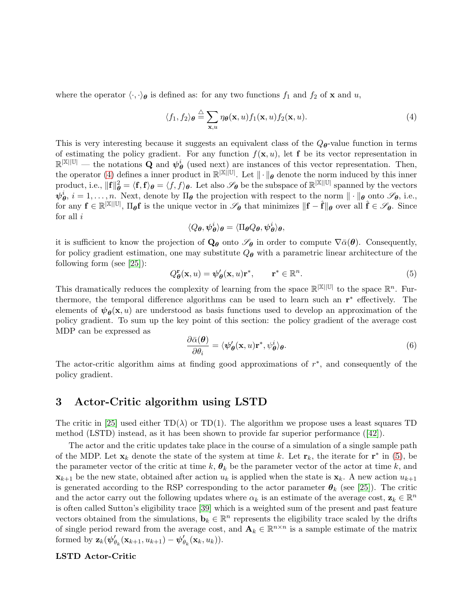<span id="page-4-1"></span>where the operator  $\langle \cdot, \cdot \rangle_{\theta}$  is defined as: for any two functions  $f_1$  and  $f_2$  of **x** and u,

$$
\langle f_1, f_2 \rangle_{\boldsymbol{\theta}} \stackrel{\triangle}{=} \sum_{\mathbf{x}, u} \eta_{\boldsymbol{\theta}}(\mathbf{x}, u) f_1(\mathbf{x}, u) f_2(\mathbf{x}, u). \tag{4}
$$

This is very interesting because it suggests an equivalent class of the  $Q_{\theta}$ -value function in terms of estimating the policy gradient. For any function  $f(\mathbf{x}, u)$ , let **f** be its vector representation in  $\mathbb{R}^{|\mathbb{X}||\mathbb{U}|}$  — the notations **Q** and  $\psi_{\theta}^{i}$  (used next) are instances of this vector representation. Then, the operator [\(4\)](#page-4-1) defines a inner product in  $\mathbb{R}^{\mathbb{X}[\mathbb{U}]}$ . Let  $\|\cdot\|_{\theta}$  denote the norm induced by this inner product, i.e.,  $\|\mathbf{f}\|_{\boldsymbol{\theta}}^2 = \langle \mathbf{f}, \mathbf{f} \rangle_{\boldsymbol{\theta}} = \langle \overline{f}, \overline{f} \rangle_{\boldsymbol{\theta}}$ . Let also  $\mathscr{S}_{\boldsymbol{\theta}}$  be the subspace of  $\mathbb{R}^{|\mathbb{X}||\mathbb{U}|}$  spanned by the vectors  $\psi^i_{\theta}, i = 1, \ldots, n$ . Next, denote by  $\Pi_{\theta}$  the projection with respect to the norm  $\|\cdot\|_{\theta}$  onto  $\mathscr{S}_{\theta}$ , i.e., for any  $f \in \mathbb{R}^{|\mathbb{X}||\mathbb{U}|}$ ,  $\Pi_{\theta}f$  is the unique vector in  $\mathscr{S}_{\theta}$  that minimizes  $\|\mathbf{f} - \hat{\mathbf{f}}\|_{\theta}$  over all  $\hat{\mathbf{f}} \in \mathscr{S}_{\theta}$ . Since for all  $i$ 

$$
\langle Q_{\boldsymbol{\theta}}, \boldsymbol{\psi}^i_{\boldsymbol{\theta}} \rangle_{\boldsymbol{\theta}} = \langle \Pi_{\boldsymbol{\theta}} Q_{\boldsymbol{\theta}}, \boldsymbol{\psi}^i_{\boldsymbol{\theta}} \rangle_{\boldsymbol{\theta}},
$$

it is sufficient to know the projection of  $\mathbf{Q}_{\theta}$  onto  $\mathscr{S}_{\theta}$  in order to compute  $\nabla \bar{\alpha}(\theta)$ . Consequently, for policy gradient estimation, one may substitute  $Q_{\theta}$  with a parametric linear architecture of the following form (see [\[25\]](#page-25-7)):

<span id="page-4-2"></span>
$$
Q_{\boldsymbol{\theta}}^{\mathbf{r}}(\mathbf{x},u) = \boldsymbol{\psi}_{\boldsymbol{\theta}}'(\mathbf{x},u)\mathbf{r}^*, \qquad \mathbf{r}^* \in \mathbb{R}^n.
$$
 (5)

This dramatically reduces the complexity of learning from the space  $\mathbb{R}^{|\mathbb{X}||\mathbb{U}|}$  to the space  $\mathbb{R}^n$ . Furthermore, the temporal difference algorithms can be used to learn such an  $\mathbf{r}^*$  effectively. The elements of  $\psi_{\theta}(\mathbf{x}, u)$  are understood as basis functions used to develop an approximation of the policy gradient. To sum up the key point of this section: the policy gradient of the average cost MDP can be expressed as

$$
\frac{\partial \bar{\alpha}(\boldsymbol{\theta})}{\partial \theta_i} = \langle \boldsymbol{\psi}_{\boldsymbol{\theta}}'(\mathbf{x}, u) \mathbf{r}^*, \psi_{\boldsymbol{\theta}}^i \rangle_{\boldsymbol{\theta}}.
$$
\n(6)

The actor-critic algorithm aims at finding good approximations of  $r^*$ , and consequently of the policy gradient.

### <span id="page-4-0"></span>3 Actor-Critic algorithm using LSTD

The critic in [\[25\]](#page-25-7) used either  $TD(\lambda)$  or  $TD(1)$ . The algorithm we propose uses a least squares TD method (LSTD) instead, as it has been shown to provide far superior performance([\[42\]](#page-26-0)).

The actor and the critic updates take place in the course of a simulation of a single sample path of the MDP. Let  $\mathbf{x}_k$  denote the state of the system at time k. Let  $\mathbf{r}_k$ , the iterate for  $\mathbf{r}^*$  in [\(5\)](#page-4-2), be the parameter vector of the critic at time k,  $\theta_k$  be the parameter vector of the actor at time k, and  $\mathbf{x}_{k+1}$  be the new state, obtained after action  $u_k$  is applied when the state is  $\mathbf{x}_k$ . A new action  $u_{k+1}$ is generated according to the RSP corresponding to the actor parameter  $\theta_k$  (see [\[25\]](#page-25-7)). The critic and the actor carry out the following updates where  $\alpha_k$  is an estimate of the average cost,  $\mathbf{z}_k \in \mathbb{R}^n$ is often called Sutton's eligibility trace [\[39\]](#page-25-1) which is a weighted sum of the present and past feature vectors obtained from the simulations,  $\mathbf{b}_k \in \mathbb{R}^n$  represents the eligibility trace scaled by the drifts of single period reward from the average cost, and  $\mathbf{A}_k \in \mathbb{R}^{n \times n}$  is a sample estimate of the matrix formed by  $\mathbf{z}_k(\psi_{\theta_k}'(\mathbf{x}_{k+1}, u_{k+1}) - \psi_{\theta_k}'(\mathbf{x}_k, u_k)).$ 

#### LSTD Actor-Critic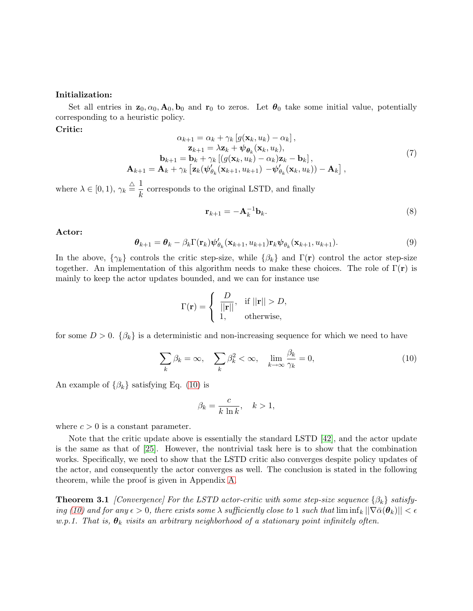#### Initialization:

Set all entries in  $\mathbf{z}_0, \alpha_0, \mathbf{A}_0, \mathbf{b}_0$  and  $\mathbf{r}_0$  to zeros. Let  $\theta_0$  take some initial value, potentially corresponding to a heuristic policy.

#### <span id="page-5-1"></span>Critic:

$$
\alpha_{k+1} = \alpha_k + \gamma_k \left[ g(\mathbf{x}_k, u_k) - \alpha_k \right],
$$
  
\n
$$
\mathbf{z}_{k+1} = \lambda \mathbf{z}_k + \psi_{\boldsymbol{\theta}_k}(\mathbf{x}_k, u_k),
$$
  
\n
$$
\mathbf{b}_{k+1} = \mathbf{b}_k + \gamma_k \left[ (g(\mathbf{x}_k, u_k) - \alpha_k) \mathbf{z}_k - \mathbf{b}_k \right],
$$
  
\n
$$
\mathbf{A}_{k+1} = \mathbf{A}_k + \gamma_k \left[ \mathbf{z}_k (\psi_{\theta_k}'(\mathbf{x}_{k+1}, u_{k+1}) - \psi_{\theta_k}'(\mathbf{x}_k, u_k)) - \mathbf{A}_k \right],
$$
\n(7)

where  $\lambda \in [0, 1), \gamma_k \stackrel{\triangle}{=} \frac{1}{k}$  $\frac{1}{k}$  corresponds to the original LSTD, and finally

$$
\mathbf{r}_{k+1} = -\mathbf{A}_k^{-1} \mathbf{b}_k. \tag{8}
$$

#### <span id="page-5-3"></span>Actor:

<span id="page-5-4"></span>
$$
\boldsymbol{\theta}_{k+1} = \boldsymbol{\theta}_k - \beta_k \Gamma(\mathbf{r}_k) \boldsymbol{\psi}_{\theta_k}'(\mathbf{x}_{k+1}, u_{k+1}) \mathbf{r}_k \boldsymbol{\psi}_{\theta_k}(\mathbf{x}_{k+1}, u_{k+1}).
$$
\n(9)

In the above,  $\{\gamma_k\}$  controls the critic step-size, while  $\{\beta_k\}$  and  $\Gamma(\mathbf{r})$  control the actor step-size together. An implementation of this algorithm needs to make these choices. The role of  $\Gamma(\mathbf{r})$  is mainly to keep the actor updates bounded, and we can for instance use

$$
\Gamma(\mathbf{r}) = \begin{cases} \frac{D}{||\mathbf{r}||}, & \text{if } ||\mathbf{r}|| > D, \\ 1, & \text{otherwise}, \end{cases}
$$

<span id="page-5-0"></span>for some  $D > 0$ .  $\{\beta_k\}$  is a deterministic and non-increasing sequence for which we need to have

$$
\sum_{k} \beta_k = \infty, \quad \sum_{k} \beta_k^2 < \infty, \quad \lim_{k \to \infty} \frac{\beta_k}{\gamma_k} = 0,\tag{10}
$$

An example of  $\{\beta_k\}$  satisfying Eq. [\(10\)](#page-5-0) is

$$
\beta_k = \frac{c}{k \ln k}, \quad k > 1,
$$

where  $c > 0$  is a constant parameter.

Note that the critic update above is essentially the standard LSTD [\[42\]](#page-26-0), and the actor update is the same as that of [\[25\]](#page-25-7). However, the nontrivial task here is to show that the combination works. Specifically, we need to show that the LSTD critic also converges despite policy updates of the actor, and consequently the actor converges as well. The conclusion is stated in the following theorem, while the proof is given in Appendix [A.](#page-17-1)

<span id="page-5-2"></span>**Theorem 3.1** *[Convergence] For the LSTD actor-critic with some step-size sequence*  $\{\beta_k\}$  *satisfying* [\(10\)](#page-5-0) and for any  $\epsilon > 0$ , there exists some  $\lambda$  sufficiently close to 1 such that  $\liminf_k ||\nabla \bar{\alpha}(\theta_k)|| < \epsilon$ *w.p.1. That is,*  $\theta_k$  *visits an arbitrary neighborhood of a stationary point infinitely often.*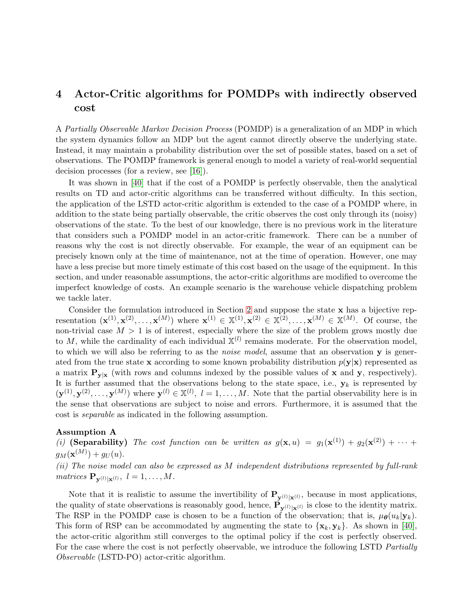## <span id="page-6-0"></span>4 Actor-Critic algorithms for POMDPs with indirectly observed cost

A *Partially Observable Markov Decision Process* (POMDP) is a generalization of an MDP in which the system dynamics follow an MDP but the agent cannot directly observe the underlying state. Instead, it may maintain a probability distribution over the set of possible states, based on a set of observations. The POMDP framework is general enough to model a variety of real-world sequential decision processes (for a review, see [\[16\]](#page-24-13)).

It was shown in [\[40\]](#page-25-13) that if the cost of a POMDP is perfectly observable, then the analytical results on TD and actor-critic algorithms can be transferred without difficulty. In this section, the application of the LSTD actor-critic algorithm is extended to the case of a POMDP where, in addition to the state being partially observable, the critic observes the cost only through its (noisy) observations of the state. To the best of our knowledge, there is no previous work in the literature that considers such a POMDP model in an actor-critic framework. There can be a number of reasons why the cost is not directly observable. For example, the wear of an equipment can be precisely known only at the time of maintenance, not at the time of operation. However, one may have a less precise but more timely estimate of this cost based on the usage of the equipment. In this section, and under reasonable assumptions, the actor-critic algorithms are modified to overcome the imperfect knowledge of costs. An example scenario is the warehouse vehicle dispatching problem we tackle later.

Consider the formulation introduced in Section [2](#page-2-0) and suppose the state x has a bijective representation  $(\mathbf{x}^{(1)}, \mathbf{x}^{(2)}, \dots, \mathbf{x}^{(M)})$  where  $\mathbf{x}^{(1)} \in \mathbb{X}^{(1)}, \mathbf{x}^{(2)} \in \mathbb{X}^{(2)}, \dots, \mathbf{x}^{(M)} \in \mathbb{X}^{(M)}$ . Of course, the non-trivial case  $M > 1$  is of interest, especially where the size of the problem grows mostly due to M, while the cardinality of each individual  $\mathbb{X}^{(l)}$  remains moderate. For the observation model, to which we will also be referring to as the *noise model*, assume that an observation y is generated from the true state x according to some known probability distribution  $p(y|x)$  represented as a matrix  $P_{y|x}$  (with rows and columns indexed by the possible values of x and y, respectively). It is further assumed that the observations belong to the state space, i.e.,  $\mathbf{y}_k$  is represented by  $(\mathbf{y}^{(1)}, \mathbf{y}^{(2)}, \dots, \mathbf{y}^{(M)})$  where  $\mathbf{y}^{(l)} \in \mathbb{X}^{(l)}$ ,  $l = 1, \dots, M$ . Note that the partial observability here is in the sense that observations are subject to noise and errors. Furthermore, it is assumed that the cost is *separable* as indicated in the following assumption.

### <span id="page-6-1"></span>Assumption A

(i) (Separability) The cost function can be written as  $g(\mathbf{x}, u) = g_1(\mathbf{x}^{(1)}) + g_2(\mathbf{x}^{(2)}) + \cdots$  $g_M(\mathbf{x}^{(M)})+g_U(u).$ 

*(ii) The noise model can also be expressed as* M *independent distributions represented by full-rank*  $matrices \mathbf{P}_{\mathbf{y}^{(l)}|\mathbf{x}^{(l)}}, l = 1, \ldots, M.$ 

Note that it is realistic to assume the invertibility of  $P_{y^{(l)}|x^{(l)}},$  because in most applications, the quality of state observations is reasonably good, hence,  $P_{y^{(l)}|x^{(l)}}$  is close to the identity matrix. The RSP in the POMDP case is chosen to be a function of the observation; that is,  $\mu_{\theta}(u_k|\mathbf{y}_k)$ . This form of RSP can be accommodated by augmenting the state to  $\{x_k, y_k\}$ . As shown in [\[40\]](#page-25-13), the actor-critic algorithm still converges to the optimal policy if the cost is perfectly observed. For the case where the cost is not perfectly observable, we introduce the following LSTD *Partially Observable* (LSTD-PO) actor-critic algorithm.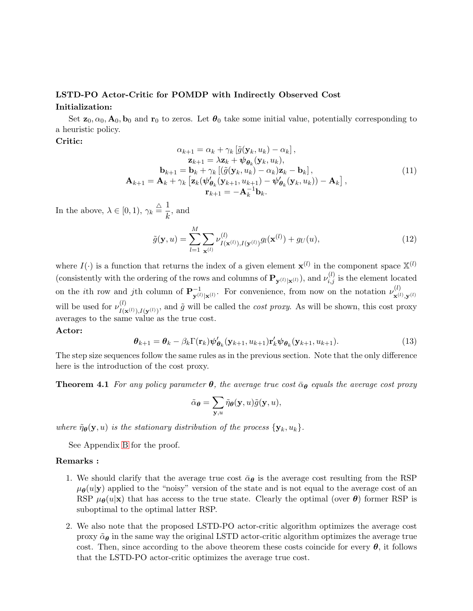## LSTD-PO Actor-Critic for POMDP with Indirectly Observed Cost

### Initialization:

Set  $\mathbf{z}_0, \alpha_0, \mathbf{A}_0, \mathbf{b}_0$  and  $\mathbf{r}_0$  to zeros. Let  $\boldsymbol{\theta}_0$  take some initial value, potentially corresponding to a heuristic policy.

#### <span id="page-7-0"></span>Critic:

$$
\alpha_{k+1} = \alpha_k + \gamma_k \left[ \tilde{g}(\mathbf{y}_k, u_k) - \alpha_k \right],
$$
  
\n
$$
\mathbf{z}_{k+1} = \lambda \mathbf{z}_k + \psi_{\theta_k}(\mathbf{y}_k, u_k),
$$
  
\n
$$
\mathbf{b}_{k+1} = \mathbf{b}_k + \gamma_k \left[ \left( \tilde{g}(\mathbf{y}_k, u_k) - \alpha_k \right) \mathbf{z}_k - \mathbf{b}_k \right],
$$
  
\n
$$
\mathbf{A}_{k+1} = \mathbf{A}_k + \gamma_k \left[ \mathbf{z}_k (\psi_{\theta_k}^{\prime}(\mathbf{y}_{k+1}, u_{k+1}) - \psi_{\theta_k}^{\prime}(\mathbf{y}_k, u_k)) - \mathbf{A}_k \right],
$$
  
\n
$$
\mathbf{r}_{k+1} = -\mathbf{A}_k^{-1} \mathbf{b}_k.
$$
\n(11)

In the above,  $\lambda \in [0, 1), \gamma_k \stackrel{\triangle}{=} \frac{1}{k}$  $\frac{1}{k}$ , and

$$
\tilde{g}(\mathbf{y}, u) = \sum_{l=1}^{M} \sum_{\mathbf{x}^{(l)}} \nu_{I(\mathbf{x}^{(l)}), I(\mathbf{y}^{(l)})}^{(l)} g_l(\mathbf{x}^{(l)}) + g_U(u),
$$
\n(12)

where  $I(\cdot)$  is a function that returns the index of a given element  $\mathbf{x}^{(l)}$  in the component space  $\mathbb{X}^{(l)}$ (consistently with the ordering of the rows and columns of  $\mathbf{P}_{\mathbf{y}^{(l)}|\mathbf{x}^{(l)}}$ ), and  $\nu_{i,j}^{(l)}$  is the element located on the *i*th row and *j*th column of  $P_{\nu(l)}^{-1}$  $\mathbf{y}^{(l)}|\mathbf{x}^{(l)}$ . For convenience, from now on the notation  $\nu^{(l)}_{\mathbf{x}^{(l)}}$  $\mathbf{x}^{(l)}, \mathbf{y}^{(l)}$ will be used for  $\nu_{I(s)}^{(l)}$  $I(\mathbf{x}^{(l)}),I(\mathbf{y}^{(l)})$ , and  $\tilde{g}$  will be called the *cost proxy*. As will be shown, this cost proxy averages to the same value as the true cost.

#### Actor:

$$
\boldsymbol{\theta}_{k+1} = \boldsymbol{\theta}_k - \beta_k \Gamma(\mathbf{r}_k) \boldsymbol{\psi}_{\boldsymbol{\theta}_k}'(\mathbf{y}_{k+1}, u_{k+1}) \mathbf{r}_k' \boldsymbol{\psi}_{\boldsymbol{\theta}_k}(\mathbf{y}_{k+1}, u_{k+1}).
$$
\n(13)

<span id="page-7-1"></span>The step size sequences follow the same rules as in the previous section. Note that the only difference here is the introduction of the cost proxy.

**Theorem 4.1** *For any policy parameter*  $\theta$ *, the average true cost*  $\bar{\alpha}_{\theta}$  *equals the average cost proxy* 

$$
\tilde{\alpha}_{\boldsymbol{\theta}} = \sum_{\mathbf{y},u} \tilde{\eta}_{\boldsymbol{\theta}}(\mathbf{y},u) \tilde{g}(\mathbf{y},u),
$$

*where*  $\tilde{\eta}_{\theta}(\mathbf{y}, u)$  *is the stationary distribution of the process*  $\{\mathbf{y}_k, u_k\}$ *.* 

See Appendix [B](#page-22-0) for the proof.

#### Remarks :

- 1. We should clarify that the average true cost  $\bar{\alpha}_{\theta}$  is the average cost resulting from the RSP  $\mu_{\theta}(u|\mathbf{y})$  applied to the "noisy" version of the state and is not equal to the average cost of an RSP  $\mu_{\theta}(u|\mathbf{x})$  that has access to the true state. Clearly the optimal (over  $\theta$ ) former RSP is suboptimal to the optimal latter RSP.
- 2. We also note that the proposed LSTD-PO actor-critic algorithm optimizes the average cost proxy  $\tilde{\alpha}_{\theta}$  in the same way the original LSTD actor-critic algorithm optimizes the average true cost. Then, since according to the above theorem these costs coincide for every  $\theta$ , it follows that the LSTD-PO actor-critic optimizes the average true cost.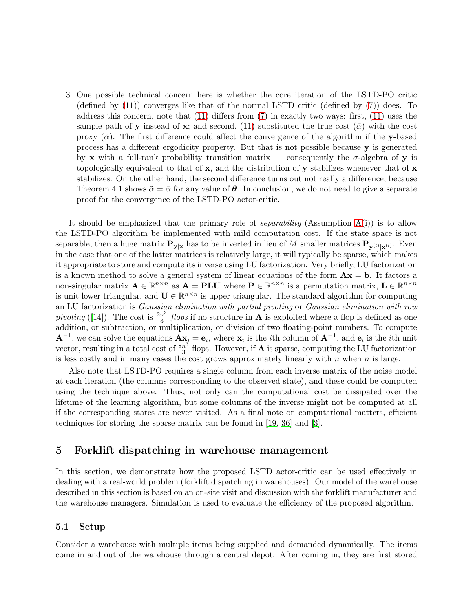3. One possible technical concern here is whether the core iteration of the LSTD-PO critic (defined by  $(11)$ ) converges like that of the normal LSTD critic (defined by  $(7)$ ) does. To address this concern, note that [\(11\)](#page-7-0) differs from [\(7\)](#page-5-1) in exactly two ways: first, [\(11\)](#page-7-0) uses the sample path of y instead of x; and second, [\(11\)](#page-7-0) substituted the true cost ( $\bar{\alpha}$ ) with the cost proxy  $(\tilde{\alpha})$ . The first difference could affect the convergence of the algorithm if the y-based process has a different ergodicity property. But that is not possible because y is generated by x with a full-rank probability transition matrix — consequently the  $\sigma$ -algebra of y is topologically equivalent to that of  $x$ , and the distribution of  $y$  stabilizes whenever that of  $x$ stabilizes. On the other hand, the second difference turns out not really a difference, because Theorem [4.1](#page-7-1) shows  $\tilde{\alpha} = \bar{\alpha}$  for any value of  $\theta$ . In conclusion, we do not need to give a separate proof for the convergence of the LSTD-PO actor-critic.

It should be emphasized that the primary role of *separability* (Assumption [A\(](#page-6-1)i)) is to allow the LSTD-PO algorithm be implemented with mild computation cost. If the state space is not separable, then a huge matrix  $P_{y|x}$  has to be inverted in lieu of M smaller matrices  $P_{y^{(l)}|x^{(l)}}$ . Even in the case that one of the latter matrices is relatively large, it will typically be sparse, which makes it appropriate to store and compute its inverse using LU factorization. Very briefly, LU factorization is a known method to solve a general system of linear equations of the form  $\mathbf{A}\mathbf{x} = \mathbf{b}$ . It factors a non-singular matrix  $A \in \mathbb{R}^{n \times n}$  as  $A = PLU$  where  $P \in \mathbb{R}^{n \times n}$  is a permutation matrix,  $L \in \mathbb{R}^{n \times n}$ is unit lower triangular, and  $\mathbf{U} \in \mathbb{R}^{n \times n}$  is upper triangular. The standard algorithm for computing an LU factorization is *Gaussian elimination with partial pivoting* or *Gaussian elimination with row pivoting* ([\[14\]](#page-24-14)). The cost is  $\frac{2n^3}{3}$  $\frac{n^3}{3}$  *flops* if no structure in **A** is exploited where a flop is defined as one addition, or subtraction, or multiplication, or division of two floating-point numbers. To compute  $\mathbf{A}^{-1}$ , we can solve the equations  $\mathbf{A} \mathbf{x}_i = \mathbf{e}_i$ , where  $\mathbf{x}_i$  is the *i*th column of  $\mathbf{A}^{-1}$ , and  $\mathbf{e}_i$  is the *i*th unit vector, resulting in a total cost of  $\frac{8n^3}{3}$  $\frac{n^{\circ}}{3}$  flops. However, if **A** is sparse, computing the LU factorization is less costly and in many cases the cost grows approximately linearly with  $n$  when  $n$  is large.

Also note that LSTD-PO requires a single column from each inverse matrix of the noise model at each iteration (the columns corresponding to the observed state), and these could be computed using the technique above. Thus, not only can the computational cost be dissipated over the lifetime of the learning algorithm, but some columns of the inverse might not be computed at all if the corresponding states are never visited. As a final note on computational matters, efficient techniques for storing the sparse matrix can be found in [\[19,](#page-24-15) [36\]](#page-25-14) and [\[3\]](#page-23-6).

### <span id="page-8-0"></span>5 Forklift dispatching in warehouse management

In this section, we demonstrate how the proposed LSTD actor-critic can be used effectively in dealing with a real-world problem (forklift dispatching in warehouses). Our model of the warehouse described in this section is based on an on-site visit and discussion with the forklift manufacturer and the warehouse managers. Simulation is used to evaluate the efficiency of the proposed algorithm.

#### 5.1 Setup

Consider a warehouse with multiple items being supplied and demanded dynamically. The items come in and out of the warehouse through a central depot. After coming in, they are first stored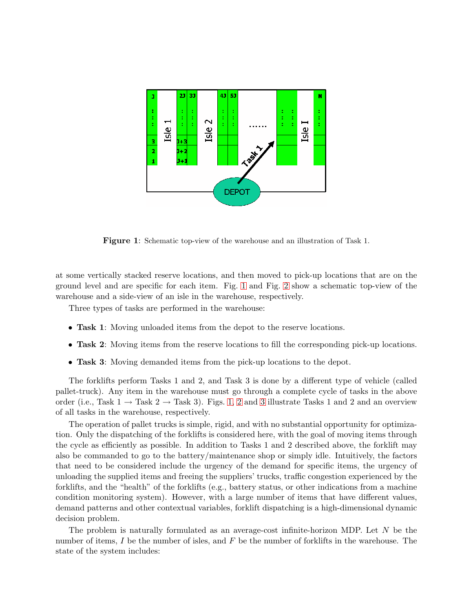

<span id="page-9-0"></span>Figure 1: Schematic top-view of the warehouse and an illustration of Task 1.

at some vertically stacked reserve locations, and then moved to pick-up locations that are on the ground level and are specific for each item. Fig. [1](#page-9-0) and Fig. [2](#page-10-0) show a schematic top-view of the warehouse and a side-view of an isle in the warehouse, respectively.

Three types of tasks are performed in the warehouse:

- Task 1: Moving unloaded items from the depot to the reserve locations.
- Task 2: Moving items from the reserve locations to fill the corresponding pick-up locations.
- Task 3: Moving demanded items from the pick-up locations to the depot.

The forklifts perform Tasks 1 and 2, and Task 3 is done by a different type of vehicle (called pallet-truck). Any item in the warehouse must go through a complete cycle of tasks in the above order (i.e., Task  $1 \rightarrow$  Task  $2 \rightarrow$  Task 3). Figs. [1,](#page-9-0) [2](#page-10-0) and [3](#page-11-0) illustrate Tasks 1 and 2 and an overview of all tasks in the warehouse, respectively.

The operation of pallet trucks is simple, rigid, and with no substantial opportunity for optimization. Only the dispatching of the forklifts is considered here, with the goal of moving items through the cycle as efficiently as possible. In addition to Tasks 1 and 2 described above, the forklift may also be commanded to go to the battery/maintenance shop or simply idle. Intuitively, the factors that need to be considered include the urgency of the demand for specific items, the urgency of unloading the supplied items and freeing the suppliers' trucks, traffic congestion experienced by the forklifts, and the "health" of the forklifts (e.g., battery status, or other indications from a machine condition monitoring system). However, with a large number of items that have different values, demand patterns and other contextual variables, forklift dispatching is a high-dimensional dynamic decision problem.

The problem is naturally formulated as an average-cost infinite-horizon MDP. Let N be the number of items, I be the number of isles, and  $F$  be the number of forklifts in the warehouse. The state of the system includes: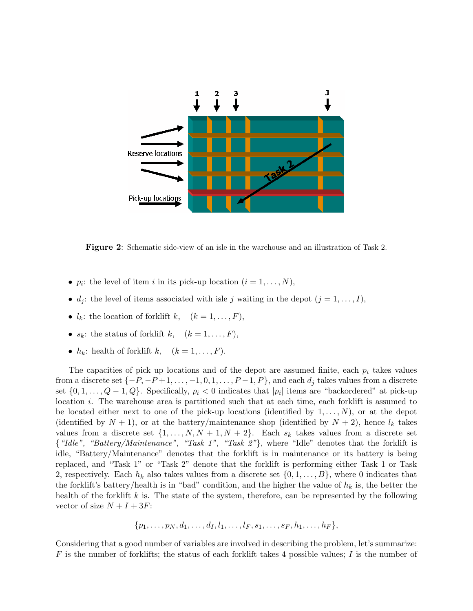

<span id="page-10-0"></span>Figure 2: Schematic side-view of an isle in the warehouse and an illustration of Task 2.

- $p_i$ : the level of item i in its pick-up location  $(i = 1, \ldots, N)$ ,
- $d_j$ : the level of items associated with isle j waiting in the depot  $(j = 1, \ldots, I)$ ,
- $l_k$ : the location of forklift  $k, (k = 1, \ldots, F)$ ,
- $s_k$ : the status of forklift k,  $(k = 1, \ldots, F)$ ,
- $h_k$ : health of forklift  $k, (k = 1, \ldots, F)$ .

The capacities of pick up locations and of the depot are assumed finite, each  $p_i$  takes values from a discrete set  $\{-P, -P+1, \ldots, -1, 0, 1, \ldots, P-1, P\}$ , and each  $d_j$  takes values from a discrete set  $\{0, 1, \ldots, Q-1, Q\}$ . Specifically,  $p_i < 0$  indicates that  $|p_i|$  items are "backordered" at pick-up location i. The warehouse area is partitioned such that at each time, each forklift is assumed to be located either next to one of the pick-up locations (identified by  $1, \ldots, N$ ), or at the depot (identified by  $N + 1$ ), or at the battery/maintenance shop (identified by  $N + 2$ ), hence  $l_k$  takes values from a discrete set  $\{1, \ldots, N, N+1, N+2\}$ . Each  $s_k$  takes values from a discrete set {*"Idle", "Battery/Maintenance", "Task 1", "Task 2"*}, where "Idle" denotes that the forklift is idle, "Battery/Maintenance" denotes that the forklift is in maintenance or its battery is being replaced, and "Task 1" or "Task 2" denote that the forklift is performing either Task 1 or Task 2, respectively. Each  $h_k$  also takes values from a discrete set  $\{0, 1, \ldots, B\}$ , where 0 indicates that the forklift's battery/health is in "bad" condition, and the higher the value of  $h_k$  is, the better the health of the forklift  $k$  is. The state of the system, therefore, can be represented by the following vector of size  $N + I + 3F$ :

$$
\{p_1, \ldots, p_N, d_1, \ldots, d_I, l_1, \ldots, l_F, s_1, \ldots, s_F, h_1, \ldots, h_F\},\
$$

Considering that a good number of variables are involved in describing the problem, let's summarize: F is the number of forklifts; the status of each forklift takes 4 possible values; I is the number of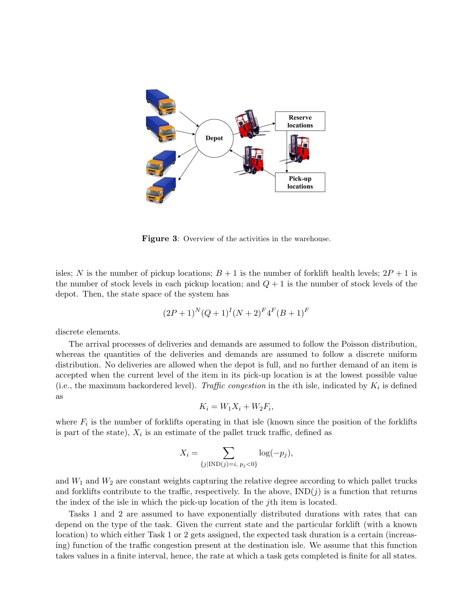

<span id="page-11-0"></span>**Figure 3:** Overview of the activities in the warehouse.

isles; N is the number of pickup locations;  $B + 1$  is the number of forklift health levels;  $2P + 1$  is the number of stock levels in each pickup location; and  $Q + 1$  is the number of stock levels of the depot. Then, the state space of the system has

$$
(2P+1)^N(Q+1)^I(N+2)^F4^F(B+1)^F
$$

discrete elements.

The arrival processes of deliveries and demands are assumed to follow the Poisson distribution, whereas the quantities of the deliveries and demands are assumed to follow a discrete uniform distribution. No deliveries are allowed when the depot is full, and no further demand of an item is accepted when the current level of the item in its pick-up location is at the lowest possible value (i.e., the maximum backordered level). *Traffic congestion* in the *i*th isle, indicated by  $K_i$  is defined as

$$
K_i = W_1 X_i + W_2 F_i,
$$

where  $F_i$  is the number of forklifts operating in that isle (known since the position of the forklifts is part of the state),  $X_i$  is an estimate of the pallet truck traffic, defined as

$$
X_i = \sum_{\{j| \text{IND}(j)=i, p_j < 0\}} \log(-p_j),
$$

and  $W_1$  and  $W_2$  are constant weights capturing the relative degree according to which pallet trucks and forklifts contribute to the traffic, respectively. In the above,  $\text{IND}(j)$  is a function that returns the index of the isle in which the pick-up location of the jth item is located.

Tasks 1 and 2 are assumed to have exponentially distributed durations with rates that can depend on the type of the task. Given the current state and the particular forklift (with a known location) to which either Task 1 or 2 gets assigned, the expected task duration is a certain (increasing) function of the traffic congestion present at the destination isle. We assume that this function takes values in a finite interval, hence, the rate at which a task gets completed is finite for all states.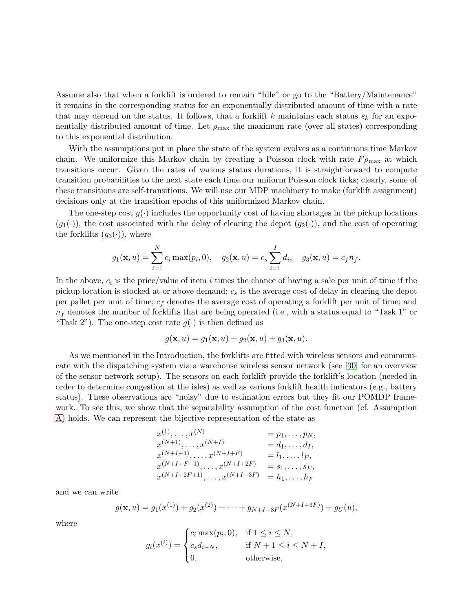Assume also that when a forklift is ordered to remain "Idle" or go to the "Battery/Maintenance" it remains in the corresponding status for an exponentially distributed amount of time with a rate that may depend on the status. It follows, that a forklift k maintains each status  $s_k$  for an exponentially distributed amount of time. Let  $\rho_{\text{max}}$  the maximum rate (over all states) corresponding to this exponential distribution.

With the assumptions put in place the state of the system evolves as a continuous time Markov chain. We uniformize this Markov chain by creating a Poisson clock with rate  $F_{\rho_{\text{max}}}$  at which transitions occur. Given the rates of various status durations, it is straightforward to compute transition probabilities to the next state each time our uniform Poisson clock ticks; clearly, some of these transitions are self-transitions. We will use our MDP machinery to make (forklift assignment) decisions only at the transition epochs of this uniformized Markov chain.

The one-step cost  $q(\cdot)$  includes the opportunity cost of having shortages in the pickup locations  $(g_1(\cdot))$ , the cost associated with the delay of clearing the depot  $(g_2(\cdot))$ , and the cost of operating the forklifts  $(g_3(\cdot))$ , where

$$
g_1(\mathbf{x}, u) = \sum_{i=1}^N c_i \max(p_i, 0), \quad g_2(\mathbf{x}, u) = c_s \sum_{i=1}^I d_i, \quad g_3(\mathbf{x}, u) = c_f n_f.
$$

In the above,  $c_i$  is the price/value of item i times the chance of having a sale per unit of time if the pickup location is stocked at or above demand;  $c_s$  is the average cost of delay in clearing the depot per pallet per unit of time;  $c_f$  denotes the average cost of operating a forklift per unit of time; and  $n_f$  denotes the number of forklifts that are being operated (i.e., with a status equal to "Task 1" or "Task 2"). The one-step cost rate  $g(\cdot)$  is then defined as

$$
g(\mathbf{x},u) = g_1(\mathbf{x},u) + g_2(\mathbf{x},u) + g_3(\mathbf{x},u).
$$

As we mentioned in the Introduction, the forklifts are fitted with wireless sensors and communicate with the dispatching system via a warehouse wireless sensor network (see [\[30\]](#page-25-15) for an overview of the sensor network setup). The sensors on each forklift provide the forklift's location (needed in order to determine congestion at the isles) as well as various forklift health indicators (e.g., battery status). These observations are "noisy" due to estimation errors but they fit our POMDP framework. To see this, we show that the separability assumption of the cost function (cf. Assumption [A\)](#page-6-1) holds. We can represent the bijective representation of the state as

$$
x^{(1)}, \ldots, x^{(N)} = p_1, \ldots, p_N, \n x^{(N+1)}, \ldots, x^{(N+I)} = d_1, \ldots, d_I, \n x^{(N+I+1)}, \ldots, x^{(N+I+F)} = l_1, \ldots, l_F, \n x^{(N+I+F+1)}, \ldots, x^{(N+I+2F)} = s_1, \ldots, s_F, \n x^{(N+I+2F+1)}, \ldots, x^{(N+I+3F)} = h_1, \ldots, h_F
$$

and we can write

$$
g(\mathbf{x}, u) = g_1(x^{(1)}) + g_2(x^{(2)}) + \cdots + g_{N+I+3F}(x^{(N+I+3F)}) + g_U(u),
$$

where

$$
g_i(x^{(i)}) = \begin{cases} c_i \max(p_i, 0), & \text{if } 1 \le i \le N, \\ c_s d_{i-N}, & \text{if } N+1 \le i \le N+I, \\ 0, & \text{otherwise,} \end{cases}
$$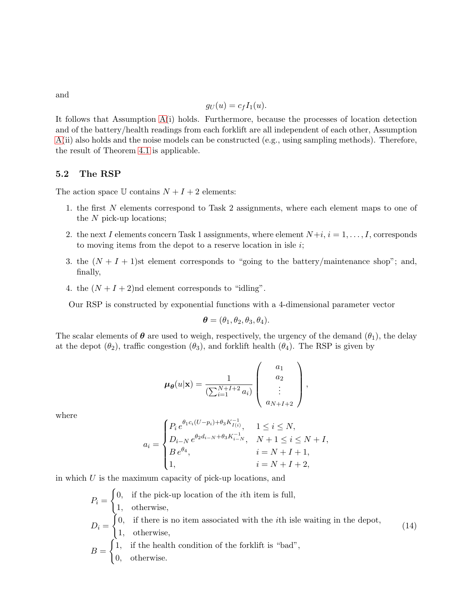and

$$
g_U(u) = c_f I_1(u).
$$

It follows that Assumption [A\(](#page-6-1)i) holds. Furthermore, because the processes of location detection and of the battery/health readings from each forklift are all independent of each other, Assumption [A\(](#page-6-1)ii) also holds and the noise models can be constructed (e.g., using sampling methods). Therefore, the result of Theorem [4.1](#page-7-1) is applicable.

#### 5.2 The RSP

The action space  $\mathbb U$  contains  $N + I + 2$  elements:

- 1. the first N elements correspond to Task 2 assignments, where each element maps to one of the N pick-up locations;
- 2. the next I elements concern Task 1 assignments, where element  $N+i$ ,  $i = 1, \ldots, I$ , corresponds to moving items from the depot to a reserve location in isle  $i$ ;
- 3. the  $(N + I + 1)$ st element corresponds to "going to the battery/maintenance shop"; and, finally,
- 4. the  $(N + I + 2)$ nd element corresponds to "idling".

Our RSP is constructed by exponential functions with a 4-dimensional parameter vector

$$
\boldsymbol{\theta} = (\theta_1, \theta_2, \theta_3, \theta_4).
$$

The scalar elements of  $\theta$  are used to weigh, respectively, the urgency of the demand  $(\theta_1)$ , the delay at the depot  $(\theta_2)$ , traffic congestion  $(\theta_3)$ , and forklift health  $(\theta_4)$ . The RSP is given by

$$
\mu_{\theta}(u|\mathbf{x}) = \frac{1}{(\sum_{i=1}^{N+I+2} a_i)} \begin{pmatrix} a_1 \\ a_2 \\ \vdots \\ a_{N+I+2} \end{pmatrix},
$$

where

$$
a_i = \begin{cases} P_i e^{\theta_1 c_i (U - p_i) + \theta_3 K_{I(i)}^{-1}}, & 1 \le i \le N, \\ D_{i-N} e^{\theta_2 d_{i-N} + \theta_3 K_{i-N}^{-1}}, & N+1 \le i \le N+I, \\ B e^{\theta_4}, & i = N+I+1, \\ 1, & i = N+I+2, \end{cases}
$$

in which  $U$  is the maximum capacity of pick-up locations, and

 $\epsilon$ 

$$
P_i = \begin{cases} 0, & \text{if the pick-up location of the ith item is full, \\ 1, & \text{otherwise,} \end{cases}
$$
  

$$
D_i = \begin{cases} 0, & \text{if there is no item associated with the ith isle waiting in the depot, \\ 1, & \text{otherwise,} \end{cases}
$$
  

$$
B = \begin{cases} 1, & \text{if the health condition of the forklift is "bad", \\ 0, & \text{otherwise.} \end{cases}
$$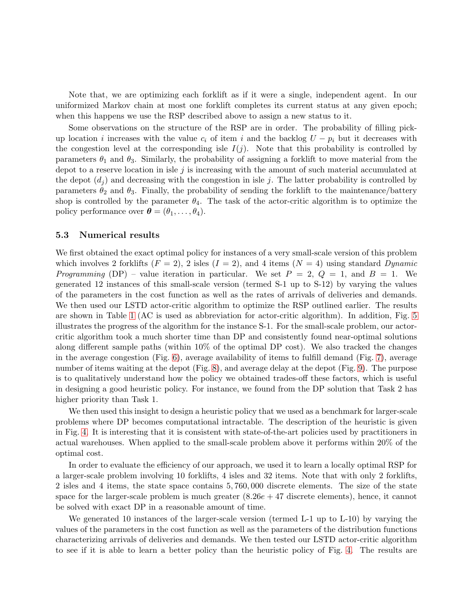Note that, we are optimizing each forklift as if it were a single, independent agent. In our uniformized Markov chain at most one forklift completes its current status at any given epoch; when this happens we use the RSP described above to assign a new status to it.

Some observations on the structure of the RSP are in order. The probability of filling pickup location i increases with the value  $c_i$  of item i and the backlog  $U - p_i$  but it decreases with the congestion level at the corresponding isle  $I(j)$ . Note that this probability is controlled by parameters  $\theta_1$  and  $\theta_3$ . Similarly, the probability of assigning a forklift to move material from the depot to a reserve location in isle j is increasing with the amount of such material accumulated at the depot  $(d_i)$  and decreasing with the congestion in isle j. The latter probability is controlled by parameters  $\theta_2$  and  $\theta_3$ . Finally, the probability of sending the forklift to the maintenance/battery shop is controlled by the parameter  $\theta_4$ . The task of the actor-critic algorithm is to optimize the policy performance over  $\boldsymbol{\theta} = (\theta_1, \dots, \theta_4)$ .

#### 5.3 Numerical results

We first obtained the exact optimal policy for instances of a very small-scale version of this problem which involves 2 forklifts  $(F = 2)$ , 2 isles  $(I = 2)$ , and 4 items  $(N = 4)$  using standard *Dynamic Programming* (DP) – value iteration in particular. We set  $P = 2$ ,  $Q = 1$ , and  $B = 1$ . We generated 12 instances of this small-scale version (termed S-1 up to S-12) by varying the values of the parameters in the cost function as well as the rates of arrivals of deliveries and demands. We then used our LSTD actor-critic algorithm to optimize the RSP outlined earlier. The results are shown in Table [1](#page-15-0) (AC is used as abbreviation for actor-critic algorithm). In addition, Fig. [5](#page-16-0) illustrates the progress of the algorithm for the instance S-1. For the small-scale problem, our actorcritic algorithm took a much shorter time than DP and consistently found near-optimal solutions along different sample paths (within 10% of the optimal DP cost). We also tracked the changes in the average congestion (Fig. [6\)](#page-17-2), average availability of items to fulfill demand (Fig. [7\)](#page-18-0), average number of items waiting at the depot (Fig. [8\)](#page-19-0), and average delay at the depot (Fig. [9\)](#page-20-0). The purpose is to qualitatively understand how the policy we obtained trades-off these factors, which is useful in designing a good heuristic policy. For instance, we found from the DP solution that Task 2 has higher priority than Task 1.

We then used this insight to design a heuristic policy that we used as a benchmark for larger-scale problems where DP becomes computational intractable. The description of the heuristic is given in Fig. [4.](#page-15-1) It is interesting that it is consistent with state-of-the-art policies used by practitioners in actual warehouses. When applied to the small-scale problem above it performs within 20% of the optimal cost.

In order to evaluate the efficiency of our approach, we used it to learn a locally optimal RSP for a larger-scale problem involving 10 forklifts, 4 isles and 32 items. Note that with only 2 forklifts, 2 isles and 4 items, the state space contains 5, 760, 000 discrete elements. The size of the state space for the larger-scale problem is much greater  $(8.26e + 47$  discrete elements), hence, it cannot be solved with exact DP in a reasonable amount of time.

We generated 10 instances of the larger-scale version (termed L-1 up to L-10) by varying the values of the parameters in the cost function as well as the parameters of the distribution functions characterizing arrivals of deliveries and demands. We then tested our LSTD actor-critic algorithm to see if it is able to learn a better policy than the heuristic policy of Fig. [4.](#page-15-1) The results are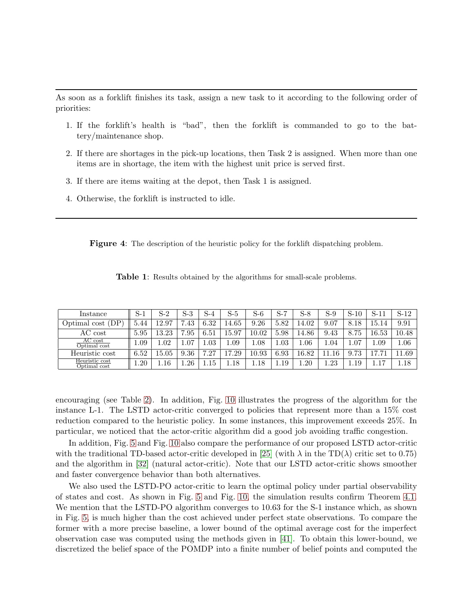As soon as a forklift finishes its task, assign a new task to it according to the following order of priorities:

- 1. If the forklift's health is "bad", then the forklift is commanded to go to the battery/maintenance shop.
- 2. If there are shortages in the pick-up locations, then Task 2 is assigned. When more than one items are in shortage, the item with the highest unit price is served first.
- 3. If there are items waiting at the depot, then Task 1 is assigned.
- 4. Otherwise, the forklift is instructed to idle.

<span id="page-15-1"></span>Figure 4: The description of the heuristic policy for the forklift dispatching problem.

<span id="page-15-0"></span>

|  |  |  |  |  |  |  |  | Table 1: Results obtained by the algorithms for small-scale problems. |  |
|--|--|--|--|--|--|--|--|-----------------------------------------------------------------------|--|
|--|--|--|--|--|--|--|--|-----------------------------------------------------------------------|--|

| Instance                       | S-1  | S-2     | S-3      | S-4  | S-5      | S-6   | $S-7$ | $S-8$ | $S-9$ | $S-10$ | $S-11$ | $S-12$   |
|--------------------------------|------|---------|----------|------|----------|-------|-------|-------|-------|--------|--------|----------|
| DP<br>Optimal cost             | 5.44 | 12.97   | .43      | 6.32 | 14.65    | 9.26  | 5.82  | 14.02 | 9.07  | 8.18   | 15.14  | 9.91     |
| AC cost                        | 5.95 | 13.23   | .95      | 6.51 | 15.97    | 10.02 | 5.98  | 14.86 | 9.43  | 8.75   | 16.53  | 10.48    |
| AC cost<br>Optimal cost        | 0.09 | .02     | 1.07     | 1.03 | 1.09     | 1.08  | 1.03  | 1.06  | 1.04  | 1.07   | 1.09   | $1.06\,$ |
| Heuristic cost                 | 6.52 | 15.05   | 9.36     | .27  | 17.29    | 10.93 | 6.93  | 16.82 | 16    | 9.73   |        | 1.69     |
| Heuristic cost<br>Optimal cost | 1.20 | $.16\,$ | $1.26\,$ | .15  | $1.18\,$ | 1.18  | 1.19  | 1.20  | 1.23  | 1.19   |        | $1.18\,$ |

encouraging (see Table [2\)](#page-16-1). In addition, Fig. [10](#page-21-0) illustrates the progress of the algorithm for the instance L-1. The LSTD actor-critic converged to policies that represent more than a 15% cost reduction compared to the heuristic policy. In some instances, this improvement exceeds 25%. In particular, we noticed that the actor-critic algorithm did a good job avoiding traffic congestion.

In addition, Fig. [5](#page-16-0) and Fig. [10](#page-21-0) also compare the performance of our proposed LSTD actor-critic with the traditional TD-based actor-critic developed in [\[25\]](#page-25-7) (with  $\lambda$  in the TD( $\lambda$ ) critic set to 0.75) and the algorithm in [\[32\]](#page-25-10) (natural actor-critic). Note that our LSTD actor-critic shows smoother and faster convergence behavior than both alternatives.

We also used the LSTD-PO actor-critic to learn the optimal policy under partial observability of states and cost. As shown in Fig. [5](#page-16-0) and Fig. [10,](#page-21-0) the simulation results confirm Theorem [4.1.](#page-7-1) We mention that the LSTD-PO algorithm converges to 10.63 for the S-1 instance which, as shown in Fig. [5,](#page-16-0) is much higher than the cost achieved under perfect state observations. To compare the former with a more precise baseline, a lower bound of the optimal average cost for the imperfect observation case was computed using the methods given in [\[41\]](#page-26-1). To obtain this lower-bound, we discretized the belief space of the POMDP into a finite number of belief points and computed the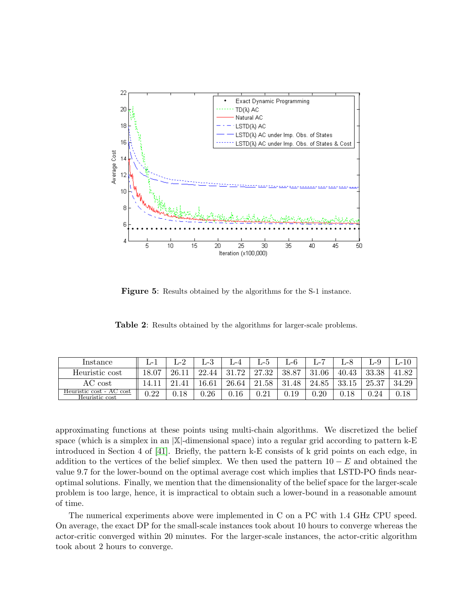

<span id="page-16-0"></span>Figure 5: Results obtained by the algorithms for the S-1 instance.

<span id="page-16-1"></span>Table 2: Results obtained by the algorithms for larger-scale problems.

| Instance                                   | ப−.        | ം<br>J−∠ | - 9<br>ட−ல | .-4   | ⊥−ധ        | ப−∪       |           | ப-8   | ⊥-≿        | L-10  |
|--------------------------------------------|------------|----------|------------|-------|------------|-----------|-----------|-------|------------|-------|
| Heuristic cost                             |            | 26.11    | 22.44      | 31.72 | 27.32      | 38.87     | 31<br>.06 | 40.43 | 33.38      | 41.82 |
| AC cost                                    |            | ີ 1      | 16.61      | 26.64 | 21.58      | .48<br>31 | 24.85     | 33.15 | 25.37      | 34.29 |
| Heuristic cost - AC cost<br>Heuristic cost | $\rm 0.22$ | 0.18     | 0.26       | 0.16  | $\rm 0.21$ | $_{0.19}$ | 0.20      |       | $\rm 0.24$ |       |

approximating functions at these points using multi-chain algorithms. We discretized the belief space (which is a simplex in an  $|\mathbb{X}|$ -dimensional space) into a regular grid according to pattern k-E introduced in Section 4 of [\[41\]](#page-26-1). Briefly, the pattern k-E consists of k grid points on each edge, in addition to the vertices of the belief simplex. We then used the pattern  $10 - E$  and obtained the value 9.7 for the lower-bound on the optimal average cost which implies that LSTD-PO finds nearoptimal solutions. Finally, we mention that the dimensionality of the belief space for the larger-scale problem is too large, hence, it is impractical to obtain such a lower-bound in a reasonable amount of time.

The numerical experiments above were implemented in C on a PC with 1.4 GHz CPU speed. On average, the exact DP for the small-scale instances took about 10 hours to converge whereas the actor-critic converged within 20 minutes. For the larger-scale instances, the actor-critic algorithm took about 2 hours to converge.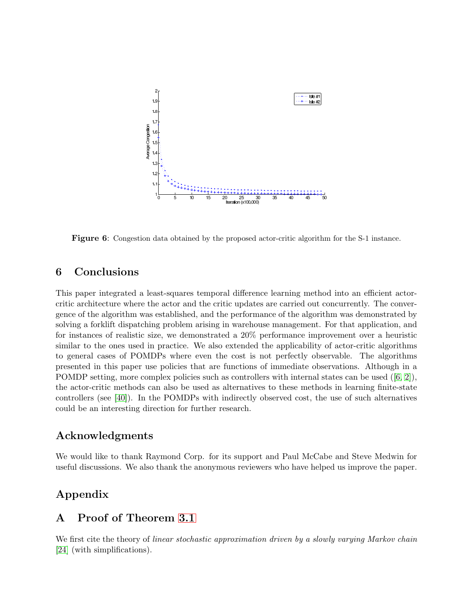

<span id="page-17-2"></span>Figure 6: Congestion data obtained by the proposed actor-critic algorithm for the S-1 instance.

## <span id="page-17-0"></span>6 Conclusions

This paper integrated a least-squares temporal difference learning method into an efficient actorcritic architecture where the actor and the critic updates are carried out concurrently. The convergence of the algorithm was established, and the performance of the algorithm was demonstrated by solving a forklift dispatching problem arising in warehouse management. For that application, and for instances of realistic size, we demonstrated a 20% performance improvement over a heuristic similar to the ones used in practice. We also extended the applicability of actor-critic algorithms to general cases of POMDPs where even the cost is not perfectly observable. The algorithms presented in this paper use policies that are functions of immediate observations. Although in a POMDP setting, more complex policies such as controllers with internal states can be used([\[6,](#page-23-4) [2\]](#page-23-7)), the actor-critic methods can also be used as alternatives to these methods in learning finite-state controllers (see [\[40\]](#page-25-13)). In the POMDPs with indirectly observed cost, the use of such alternatives could be an interesting direction for further research.

### Acknowledgments

We would like to thank Raymond Corp. for its support and Paul McCabe and Steve Medwin for useful discussions. We also thank the anonymous reviewers who have helped us improve the paper.

## <span id="page-17-1"></span>Appendix

## A Proof of Theorem [3.1](#page-5-2)

We first cite the theory of *linear stochastic approximation driven by a slowly varying Markov chain* [\[24\]](#page-24-11) (with simplifications).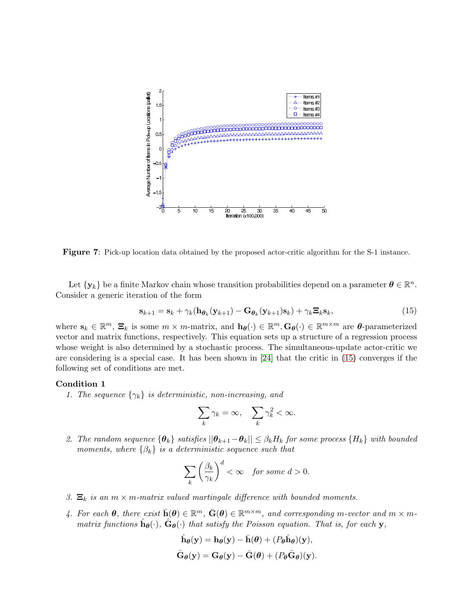

<span id="page-18-0"></span>Figure 7: Pick-up location data obtained by the proposed actor-critic algorithm for the S-1 instance.

<span id="page-18-1"></span>Let  $\{y_k\}$  be a finite Markov chain whose transition probabilities depend on a parameter  $\theta \in \mathbb{R}^n$ . Consider a generic iteration of the form

$$
\mathbf{s}_{k+1} = \mathbf{s}_k + \gamma_k (\mathbf{h}_{\boldsymbol{\theta}_k}(\mathbf{y}_{k+1}) - \mathbf{G}_{\boldsymbol{\theta}_k}(\mathbf{y}_{k+1})\mathbf{s}_k) + \gamma_k \mathbf{\Xi}_k \mathbf{s}_k, \tag{15}
$$

where  $\mathbf{s}_k \in \mathbb{R}^m$ ,  $\mathbf{\Xi}_k$  is some  $m \times m$ -matrix, and  $\mathbf{h}_{\theta}(\cdot) \in \mathbb{R}^m$ ,  $\mathbf{G}_{\theta}(\cdot) \in \mathbb{R}^{m \times m}$  are  $\theta$ -parameterized vector and matrix functions, respectively. This equation sets up a structure of a regression process whose weight is also determined by a stochastic process. The simultaneous-update actor-critic we are considering is a special case. It has been shown in [\[24\]](#page-24-11) that the critic in [\(15\)](#page-18-1) converges if the following set of conditions are met.

#### <span id="page-18-2"></span>Condition 1

*1. The sequence*  $\{\gamma_k\}$  *is deterministic, non-increasing, and* 

$$
\sum_{k} \gamma_k = \infty, \quad \sum_{k} \gamma_k^2 < \infty.
$$

*2. The random sequence*  $\{\theta_k\}$  *satisfies*  $||\theta_{k+1}-\theta_k|| \leq \beta_k H_k$  *for some process*  $\{H_k\}$  *with bounded moments, where*  $\{\beta_k\}$  *is a deterministic sequence such that* 

$$
\sum_{k} \left(\frac{\beta_k}{\gamma_k}\right)^d < \infty \quad \text{for some } d > 0.
$$

- *3.*  $\Xi_k$  *is an*  $m \times m$ *-matrix valued martingale difference with bounded moments.*
- $4$ . For each  $\boldsymbol{\theta}$ , there exist  $\bar{\mathbf{h}}(\boldsymbol{\theta}) \in \mathbb{R}^m$ ,  $\bar{\mathbf{G}}(\boldsymbol{\theta}) \in \mathbb{R}^{m \times m}$ , and corresponding m-vector and  $m \times m$ *matrix functions*  $\hat{\mathbf{h}}_{\theta}(\cdot)$ ,  $\hat{\mathbf{G}}_{\theta}(\cdot)$  *that satisfy the Poisson equation. That is, for each* y,

$$
\hat{\mathbf{h}}_{\theta}(\mathbf{y}) = \mathbf{h}_{\theta}(\mathbf{y}) - \bar{\mathbf{h}}(\theta) + (P_{\theta}\hat{\mathbf{h}}_{\theta})(\mathbf{y}),
$$
  

$$
\hat{\mathbf{G}}_{\theta}(\mathbf{y}) = \mathbf{G}_{\theta}(\mathbf{y}) - \bar{\mathbf{G}}(\theta) + (P_{\theta}\hat{\mathbf{G}}_{\theta})(\mathbf{y}).
$$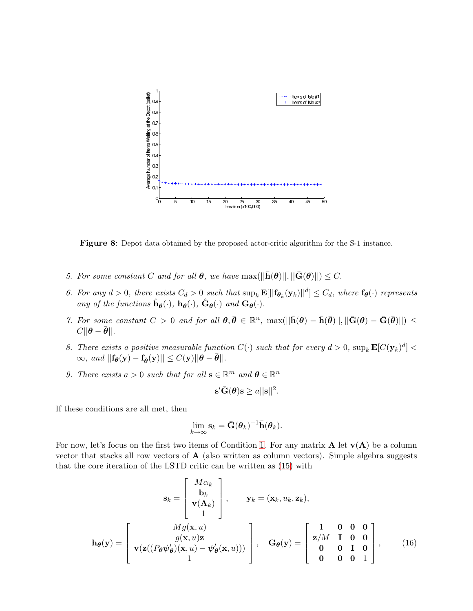

<span id="page-19-0"></span>Figure 8: Depot data obtained by the proposed actor-critic algorithm for the S-1 instance.

- *5. For some constant* C *and for all*  $\boldsymbol{\theta}$ *, we have* max $(||\bar{\mathbf{h}}(\boldsymbol{\theta})||, ||\bar{\mathbf{G}}(\boldsymbol{\theta})||) \leq C$ .
- *6. For any*  $d > 0$ , there exists  $C_d > 0$  such that  $\sup_k \mathbf{E}[||\mathbf{f}_{\theta_k}(\mathbf{y}_k)||^d] \leq C_d$ , where  $\mathbf{f}_{\theta}(\cdot)$  represents *any of the functions*  $\hat{\mathbf{h}}_{\theta}(\cdot)$ ,  $\mathbf{h}_{\theta}(\cdot)$ ,  $\hat{\mathbf{G}}_{\theta}(\cdot)$  *and*  $\mathbf{G}_{\theta}(\cdot)$ *.*
- *7. For some constant*  $C > 0$  *and for all*  $\theta, \bar{\theta} \in \mathbb{R}^n$ ,  $\max(||\bar{\mathbf{h}}(\theta) \bar{\mathbf{h}}(\bar{\theta})||, ||\bar{\mathbf{G}}(\theta) \bar{\mathbf{G}}(\bar{\theta})||) \leq$  $C||\boldsymbol{\theta}-\bar{\boldsymbol{\theta}}||.$
- 8. There exists a positive measurable function  $C(\cdot)$  such that for every  $d > 0$ ,  $\sup_k \mathbf{E}[C(\mathbf{y}_k)^d] <$  $\infty$ *, and*  $||\mathbf{f}_{\theta}(\mathbf{y}) - \mathbf{f}_{\bar{\theta}}(\mathbf{y})|| \leq C(\mathbf{y}) ||\theta - \bar{\theta}||.$
- *9. There exists*  $a > 0$  *such that for all*  $\mathbf{s} \in \mathbb{R}^m$  *and*  $\boldsymbol{\theta} \in \mathbb{R}^n$

$$
\mathbf{s}'\bar{\mathbf{G}}(\boldsymbol{\theta})\mathbf{s} \geq a||\mathbf{s}||^2.
$$

If these conditions are all met, then

<span id="page-19-1"></span>
$$
\lim_{k\to\infty} \mathbf{s}_k = \bar{\mathbf{G}}(\boldsymbol{\theta}_k)^{-1} \bar{\mathbf{h}}(\boldsymbol{\theta}_k).
$$

For now, let's focus on the first two items of Condition [1.](#page-18-2) For any matrix  $A$  let  $v(A)$  be a column vector that stacks all row vectors of  $A$  (also written as column vectors). Simple algebra suggests that the core iteration of the LSTD critic can be written as [\(15\)](#page-18-1) with

$$
\mathbf{s}_{k} = \begin{bmatrix} M\alpha_{k} \\ \mathbf{b}_{k} \\ \mathbf{v}(\mathbf{A}_{k}) \\ 1 \end{bmatrix}, \quad \mathbf{y}_{k} = (\mathbf{x}_{k}, u_{k}, \mathbf{z}_{k}),
$$

$$
\mathbf{h}_{\theta}(\mathbf{y}) = \begin{bmatrix} Mg(\mathbf{x}, u) \\ g(\mathbf{x}, u)\mathbf{z} \\ \mathbf{v}(\mathbf{z}((P_{\theta}\psi_{\theta}^{\prime})(\mathbf{x}, u) - \psi_{\theta}^{\prime}(\mathbf{x}, u))) \\ 1 \end{bmatrix}, \quad \mathbf{G}_{\theta}(\mathbf{y}) = \begin{bmatrix} 1 & \mathbf{0} & \mathbf{0} & \mathbf{0} \\ \mathbf{z}/M & \mathbf{I} & \mathbf{0} & \mathbf{0} \\ \mathbf{0} & \mathbf{0} & \mathbf{I} & \mathbf{0} \\ \mathbf{0} & \mathbf{0} & \mathbf{0} & \mathbf{1} \end{bmatrix}, \quad (16)
$$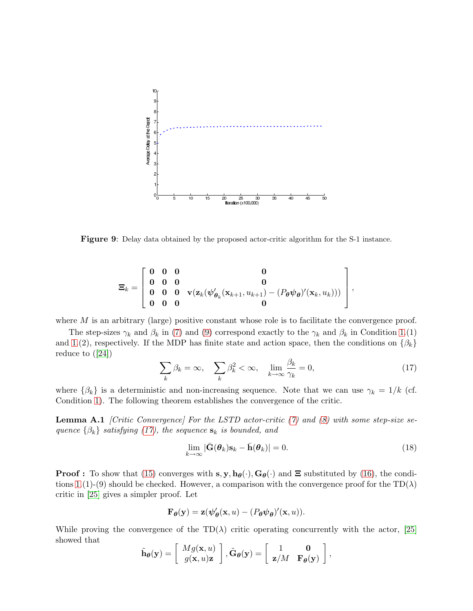

<span id="page-20-0"></span>Figure 9: Delay data obtained by the proposed actor-critic algorithm for the S-1 instance.

$$
\Xi_k = \left[ \begin{array}{cccc} 0 & 0 & 0 & 0 \\ 0 & 0 & 0 & 0 \\ 0 & 0 & 0 & \mathbf{v}(\mathbf{z}_k(\psi_{\theta_k}'(\mathbf{x}_{k+1}, u_{k+1}) - (P_{\theta}\psi_{\theta})'(\mathbf{x}_k, u_k))) \\ 0 & 0 & 0 \end{array} \right]
$$

where  $M$  is an arbitrary (large) positive constant whose role is to facilitate the convergence proof.

<span id="page-20-1"></span>The step-sizes  $\gamma_k$  and  $\beta_k$  in [\(7\)](#page-5-1) and [\(9\)](#page-5-3) correspond exactly to the  $\gamma_k$  and  $\beta_k$  in Condition [1.](#page-18-2)(1) and [1.](#page-18-2)(2), respectively. If the MDP has finite state and action space, then the conditions on  $\{\beta_k\}$ reduce to([\[24\]](#page-24-11))

$$
\sum_{k} \beta_k = \infty, \quad \sum_{k} \beta_k^2 < \infty, \quad \lim_{k \to \infty} \frac{\beta_k}{\gamma_k} = 0,\tag{17}
$$

,

where  $\{\beta_k\}$  is a deterministic and non-increasing sequence. Note that we can use  $\gamma_k = 1/k$  (cf. Condition [1\)](#page-18-2). The following theorem establishes the convergence of the critic.

Lemma A.1 *[Critic Convergence] For the LSTD actor-critic [\(7\)](#page-5-1) and [\(8\)](#page-5-4) with some step-size sequence*  $\{\beta_k\}$  *satisfying* [\(17\)](#page-20-1)*, the sequence*  $s_k$  *is bounded, and* 

<span id="page-20-2"></span>
$$
\lim_{k \to \infty} |\bar{\mathbf{G}}(\boldsymbol{\theta}_k) \mathbf{s}_k - \bar{\mathbf{h}}(\boldsymbol{\theta}_k)| = 0.
$$
\n(18)

**Proof :** To show that [\(15\)](#page-18-1) converges with  $s, y, h_{\theta}(\cdot), G_{\theta}(\cdot)$  and  $\Xi$  substituted by [\(16\)](#page-19-1), the condi-tions [1.](#page-18-2)(1)-(9) should be checked. However, a comparison with the convergence proof for the TD( $\lambda$ ) critic in [\[25\]](#page-25-7) gives a simpler proof. Let

$$
\mathbf{F}_{\theta}(\mathbf{y}) = \mathbf{z}(\psi_{\theta}'(\mathbf{x}, u) - (P_{\theta}\psi_{\theta})'(\mathbf{x}, u)).
$$

While proving the convergence of the TD( $\lambda$ ) critic operating concurrently with the actor, [\[25\]](#page-25-7) showed that

$$
\tilde{\mathbf{h}}_{\boldsymbol{\theta}}(\mathbf{y}) = \begin{bmatrix} Mg(\mathbf{x}, u) \\ g(\mathbf{x}, u)\mathbf{z} \end{bmatrix}, \tilde{\mathbf{G}}_{\boldsymbol{\theta}}(\mathbf{y}) = \begin{bmatrix} 1 & \mathbf{0} \\ \mathbf{z}/M & \mathbf{F}_{\boldsymbol{\theta}}(\mathbf{y}) \end{bmatrix},
$$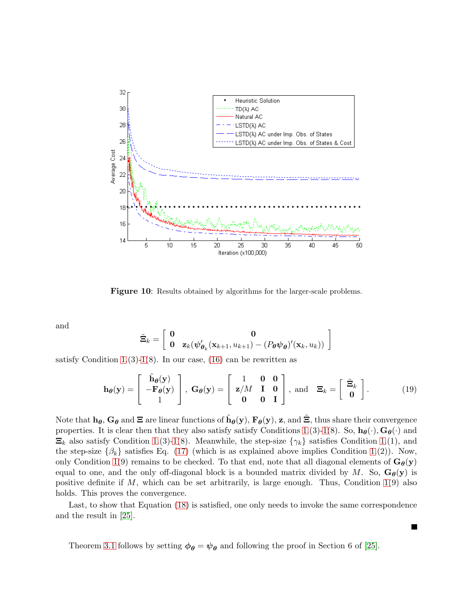

<span id="page-21-0"></span>Figure 10: Results obtained by algorithms for the larger-scale problems.

and

$$
\tilde{\Xi}_k = \left[ \begin{array}{cc} \mathbf{0} & \mathbf{0} \\ \mathbf{0} & \mathbf{z}_k (\boldsymbol{\psi}_{\boldsymbol{\theta}_k}^{\prime}(\mathbf{x}_{k+1}, u_{k+1}) - (P_{\boldsymbol{\theta}} \boldsymbol{\psi}_{\boldsymbol{\theta}})^{\prime}(\mathbf{x}_k, u_k)) \end{array} \right]
$$

satisfy Condition [1.](#page-18-2)(3)[-1\(](#page-18-2)8). In our case,  $(16)$  can be rewritten as

$$
\mathbf{h}_{\theta}(\mathbf{y}) = \begin{bmatrix} \tilde{\mathbf{h}}_{\theta}(\mathbf{y}) \\ -\mathbf{F}_{\theta}(\mathbf{y}) \\ 1 \end{bmatrix}, \ \mathbf{G}_{\theta}(\mathbf{y}) = \begin{bmatrix} 1 & \mathbf{0} & \mathbf{0} \\ \mathbf{z}/M & \mathbf{I} & \mathbf{0} \\ \mathbf{0} & \mathbf{0} & \mathbf{I} \end{bmatrix}, \ \text{and} \ \ \mathbf{\Xi}_{k} = \begin{bmatrix} \tilde{\Xi}_{k} \\ \mathbf{0} \end{bmatrix}.
$$
 (19)

Note that  $h_{\theta}$ ,  $G_{\theta}$  and  $\Xi$  are linear functions of  $\tilde{h}_{\theta}(y)$ ,  $F_{\theta}(y)$ ,  $z$ , and  $\tilde{\Xi}$ , thus share their convergence properties. It is clear then that they also satisfy satisfy Conditions [1.](#page-18-2)(3)[-1\(](#page-18-2)8). So,  $\mathbf{h}_{\theta}(\cdot), \mathbf{G}_{\theta}(\cdot)$  and  $\Xi_k$  also satisfy Condition [1.](#page-18-2)(3)[-1\(](#page-18-2)8). Meanwhile, the step-size  $\{\gamma_k\}$  satisfies Condition 1.(1), and the step-size  $\{\beta_k\}$  satisfies Eq. [\(17\)](#page-20-1) (which is as explained above implies Condition [1.](#page-18-2)(2)). Now, only Condition [1\(](#page-18-2)9) remains to be checked. To that end, note that all diagonal elements of  $G_{\theta}(y)$ equal to one, and the only off-diagonal block is a bounded matrix divided by M. So,  $\mathbf{G}_{\theta}(\mathbf{y})$  is positive definite if  $M$ , which can be set arbitrarily, is large enough. Thus, Condition [1\(](#page-18-2)9) also holds. This proves the convergence.

Last, to show that Equation [\(18\)](#page-20-2) is satisfied, one only needs to invoke the same correspondence and the result in [\[25\]](#page-25-7).

Theorem [3.1](#page-5-2) follows by setting  $\phi_{\theta} = \psi_{\theta}$  and following the proof in Section 6 of [\[25\]](#page-25-7).

П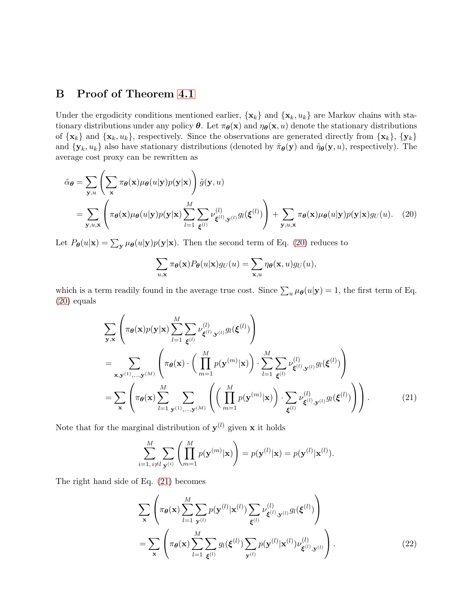## <span id="page-22-0"></span>B Proof of Theorem [4.1](#page-7-1)

Under the ergodicity conditions mentioned earlier,  $\{x_k\}$  and  $\{x_k, u_k\}$  are Markov chains with stationary distributions under any policy  $\theta$ . Let  $\pi_{\theta}(\mathbf{x})$  and  $\eta_{\theta}(\mathbf{x}, u)$  denote the stationary distributions of  $\{x_k\}$  and  $\{x_k, u_k\}$ , respectively. Since the observations are generated directly from  $\{x_k\}$ ,  $\{y_k\}$ and  $\{y_k, u_k\}$  also have stationary distributions (denoted by  $\tilde{\pi}_{\theta}(y)$  and  $\tilde{\eta}_{\theta}(y, u)$ , respectively). The average cost proxy can be rewritten as

$$
\tilde{\alpha}_{\theta} = \sum_{\mathbf{y},u} \left( \sum_{\mathbf{x}} \pi_{\theta}(\mathbf{x}) \mu_{\theta}(u|\mathbf{y}) p(\mathbf{y}|\mathbf{x}) \right) \tilde{g}(\mathbf{y}, u)
$$
\n
$$
= \sum_{\mathbf{y},u,\mathbf{x}} \left( \pi_{\theta}(\mathbf{x}) \mu_{\theta}(u|\mathbf{y}) p(\mathbf{y}|\mathbf{x}) \sum_{l=1}^{M} \sum_{\xi^{(l)}} \nu_{\xi^{(l)}, \mathbf{y}^{(l)}}^{(l)} g_l(\xi^{(l)}) \right) + \sum_{\mathbf{y},u,\mathbf{x}} \pi_{\theta}(\mathbf{x}) \mu_{\theta}(u|\mathbf{y}) p(\mathbf{y}|\mathbf{x}) g_U(u). \tag{20}
$$

Let  $P_{\theta}(u|\mathbf{x}) = \sum_{\mathbf{y}} \mu_{\theta}(u|\mathbf{y}) p(\mathbf{y}|\mathbf{x})$ . Then the second term of Eq. [\(20\)](#page-22-1) reduces to

<span id="page-22-1"></span>
$$
\sum_{u,\mathbf{x}} \pi_{\theta}(\mathbf{x}) P_{\theta}(u|\mathbf{x}) g_U(u) = \sum_{\mathbf{x},u} \eta_{\theta}(\mathbf{x},u) g_U(u),
$$

which is a term readily found in the average true cost. Since  $\sum_{u} \mu_{\theta}(u|\mathbf{y}) = 1$ , the first term of Eq. [\(20\)](#page-22-1) equals

$$
\sum_{\mathbf{y},\mathbf{x}} \left( \pi_{\theta}(\mathbf{x}) p(\mathbf{y}|\mathbf{x}) \sum_{l=1}^{M} \sum_{\xi^{(l)}} \nu_{\xi^{(l)},\mathbf{y}^{(l)}}^{(l)} g_l(\xi^{(l)}) \right)
$$
\n
$$
= \sum_{\mathbf{x},\mathbf{y}^{(1)},\dots,\mathbf{y}^{(M)}} \left( \pi_{\theta}(\mathbf{x}) \cdot \left( \prod_{m=1}^{M} p(\mathbf{y}^{(m)}|\mathbf{x}) \right) \cdot \sum_{l=1}^{M} \sum_{\xi^{(l)}} \nu_{\xi^{(l)},\mathbf{y}^{(l)}}^{(l)} g_l(\xi^{(l)}) \right)
$$
\n
$$
= \sum_{\mathbf{x}} \left( \pi_{\theta}(\mathbf{x}) \sum_{l=1}^{M} \sum_{\mathbf{y}^{(1)},\dots,\mathbf{y}^{(M)}} \left( \left( \prod_{m=1}^{M} p(\mathbf{y}^{(m)}|\mathbf{x}) \right) \cdot \sum_{\xi^{(l)}} \nu_{\xi^{(l)},\mathbf{y}^{(l)}}^{(l)} g_l(\xi^{(l)}) \right) \right). \tag{21}
$$

Note that for the marginal distribution of  $y^{(l)}$  given **x** it holds

<span id="page-22-2"></span>
$$
\sum_{i=1, i \neq l}^{M} \sum_{\mathbf{y}^{(i)}} \left( \prod_{m=1}^{M} p(\mathbf{y}^{(m)}|\mathbf{x}) \right) = p(\mathbf{y}^{(l)}|\mathbf{x}) = p(\mathbf{y}^{(l)}|\mathbf{x}^{(l)}).
$$

The right hand side of Eq. [\(21\)](#page-22-2) becomes

<span id="page-22-3"></span>
$$
\sum_{\mathbf{x}} \left( \pi_{\theta}(\mathbf{x}) \sum_{l=1}^{M} \sum_{\mathbf{y}^{(l)}} p(\mathbf{y}^{(l)} | \mathbf{x}^{(l)}) \sum_{\boldsymbol{\xi}^{(l)}} \nu_{\boldsymbol{\xi}^{(l)}, \mathbf{y}^{(l)}}^{(l)} g_l(\boldsymbol{\xi}^{(l)}) \right)
$$
\n
$$
= \sum_{\mathbf{x}} \left( \pi_{\theta}(\mathbf{x}) \sum_{l=1}^{M} \sum_{\boldsymbol{\xi}^{(l)}} g_l(\boldsymbol{\xi}^{(l)}) \sum_{\mathbf{y}^{(l)}} p(\mathbf{y}^{(l)} | \mathbf{x}^{(l)}) \nu_{\boldsymbol{\xi}^{(l)}, \mathbf{y}^{(l)}}^{(l)} \right).
$$
\n(22)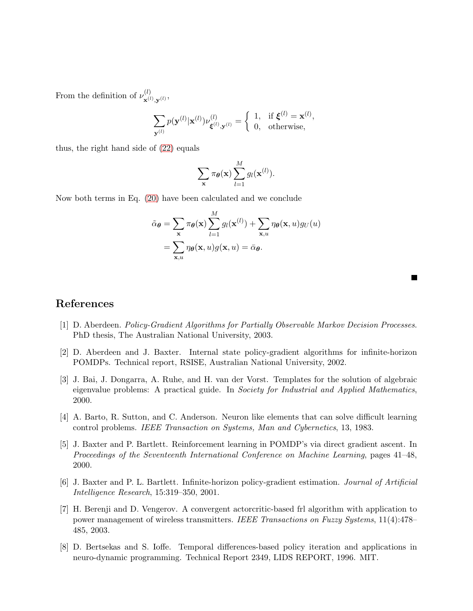From the definition of  $\nu^{(l)}_{\mathbf{x}^{(l)}}$  $\mathbf{x}^{(l)}, \mathbf{y}^{(l)}$ 

$$
\sum_{\mathbf{y}^{(l)}} p(\mathbf{y}^{(l)}|\mathbf{x}^{(l)}) \nu_{\boldsymbol{\xi}^{(l)},\mathbf{y}^{(l)}}^{(l)} = \begin{cases} 1, & \text{if } \boldsymbol{\xi}^{(l)} = \mathbf{x}^{(l)}, \\ 0, & \text{otherwise}, \end{cases}
$$

thus, the right hand side of [\(22\)](#page-22-3) equals

$$
\sum_{\mathbf{x}} \pi_{\theta}(\mathbf{x}) \sum_{l=1}^{M} g_{l}(\mathbf{x}^{(l)}).
$$

Now both terms in Eq. [\(20\)](#page-22-1) have been calculated and we conclude

$$
\tilde{\alpha}_{\theta} = \sum_{\mathbf{x}} \pi_{\theta}(\mathbf{x}) \sum_{l=1}^{M} g_{l}(\mathbf{x}^{(l)}) + \sum_{\mathbf{x}, u} \eta_{\theta}(\mathbf{x}, u) g_{U}(u)
$$

$$
= \sum_{\mathbf{x}, u} \eta_{\theta}(\mathbf{x}, u) g(\mathbf{x}, u) = \bar{\alpha}_{\theta}.
$$

## <span id="page-23-5"></span>References

- <span id="page-23-7"></span>[1] D. Aberdeen. *Policy-Gradient Algorithms for Partially Observable Markov Decision Processes*. PhD thesis, The Australian National University, 2003.
- <span id="page-23-6"></span>[2] D. Aberdeen and J. Baxter. Internal state policy-gradient algorithms for infinite-horizon POMDPs. Technical report, RSISE, Australian National University, 2002.
- [3] J. Bai, J. Dongarra, A. Ruhe, and H. van der Vorst. Templates for the solution of algebraic eigenvalue problems: A practical guide. In *Society for Industrial and Applied Mathematics*, 2000.
- <span id="page-23-3"></span><span id="page-23-0"></span>[4] A. Barto, R. Sutton, and C. Anderson. Neuron like elements that can solve difficult learning control problems. *IEEE Transaction on Systems, Man and Cybernetics*, 13, 1983.
- [5] J. Baxter and P. Bartlett. Reinforcement learning in POMDP's via direct gradient ascent. In *Proceedings of the Seventeenth International Conference on Machine Learning*, pages 41–48, 2000.
- <span id="page-23-4"></span>[6] J. Baxter and P. L. Bartlett. Infinite-horizon policy-gradient estimation. *Journal of Artificial Intelligence Research*, 15:319–350, 2001.
- <span id="page-23-1"></span>[7] H. Berenji and D. Vengerov. A convergent actorcritic-based frl algorithm with application to power management of wireless transmitters. *IEEE Transactions on Fuzzy Systems*, 11(4):478– 485, 2003.
- <span id="page-23-2"></span>[8] D. Bertsekas and S. Ioffe. Temporal differences-based policy iteration and applications in neuro-dynamic programming. Technical Report 2349, LIDS REPORT, 1996. MIT.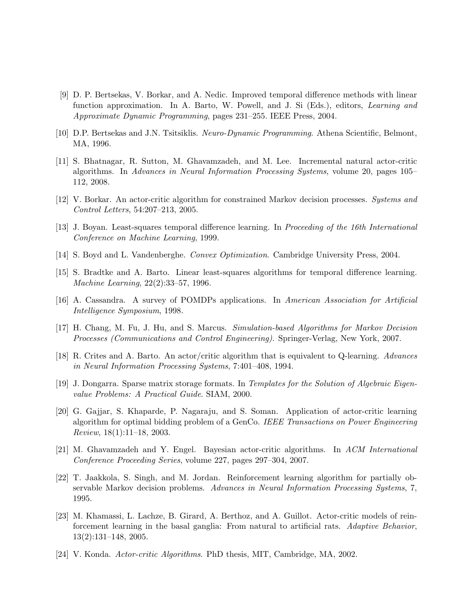- <span id="page-24-8"></span>[9] D. P. Bertsekas, V. Borkar, and A. Nedic. Improved temporal difference methods with linear function approximation. In A. Barto, W. Powell, and J. Si (Eds.), editors, *Learning and Approximate Dynamic Programming*, pages 231–255. IEEE Press, 2004.
- <span id="page-24-2"></span><span id="page-24-1"></span>[10] D.P. Bertsekas and J.N. Tsitsiklis. *Neuro-Dynamic Programming*. Athena Scientific, Belmont, MA, 1996.
- [11] S. Bhatnagar, R. Sutton, M. Ghavamzadeh, and M. Lee. Incremental natural actor-critic algorithms. In *Advances in Neural Information Processing Systems*, volume 20, pages 105– 112, 2008.
- <span id="page-24-3"></span>[12] V. Borkar. An actor-critic algorithm for constrained Markov decision processes. *Systems and Control Letters*, 54:207–213, 2005.
- <span id="page-24-14"></span><span id="page-24-9"></span>[13] J. Boyan. Least-squares temporal difference learning. In *Proceeding of the 16th International Conference on Machine Learning*, 1999.
- <span id="page-24-10"></span>[14] S. Boyd and L. Vandenberghe. *Convex Optimization*. Cambridge University Press, 2004.
- <span id="page-24-13"></span>[15] S. Bradtke and A. Barto. Linear least-squares algorithms for temporal difference learning. *Machine Learning*, 22(2):33–57, 1996.
- <span id="page-24-0"></span>[16] A. Cassandra. A survey of POMDPs applications. In *American Association for Artificial Intelligence Symposium*, 1998.
- <span id="page-24-4"></span>[17] H. Chang, M. Fu, J. Hu, and S. Marcus. *Simulation-based Algorithms for Markov Decision Processes (Communications and Control Engineering)*. Springer-Verlag, New York, 2007.
- <span id="page-24-15"></span>[18] R. Crites and A. Barto. An actor/critic algorithm that is equivalent to Q-learning. *Advances in Neural Information Processing Systems*, 7:401–408, 1994.
- <span id="page-24-7"></span>[19] J. Dongarra. Sparse matrix storage formats. In *Templates for the Solution of Algebraic Eigenvalue Problems: A Practical Guide*. SIAM, 2000.
- [20] G. Gajjar, S. Khaparde, P. Nagaraju, and S. Soman. Application of actor-critic learning algorithm for optimal bidding problem of a GenCo. *IEEE Transactions on Power Engineering Review*, 18(1):11–18, 2003.
- <span id="page-24-5"></span>[21] M. Ghavamzadeh and Y. Engel. Bayesian actor-critic algorithms. In *ACM International Conference Proceeding Series*, volume 227, pages 297–304, 2007.
- <span id="page-24-12"></span>[22] T. Jaakkola, S. Singh, and M. Jordan. Reinforcement learning algorithm for partially observable Markov decision problems. *Advances in Neural Information Processing Systems*, 7, 1995.
- <span id="page-24-6"></span>[23] M. Khamassi, L. Lachze, B. Girard, A. Berthoz, and A. Guillot. Actor-critic models of reinforcement learning in the basal ganglia: From natural to artificial rats. *Adaptive Behavior*, 13(2):131–148, 2005.
- <span id="page-24-11"></span>[24] V. Konda. *Actor-critic Algorithms*. PhD thesis, MIT, Cambridge, MA, 2002.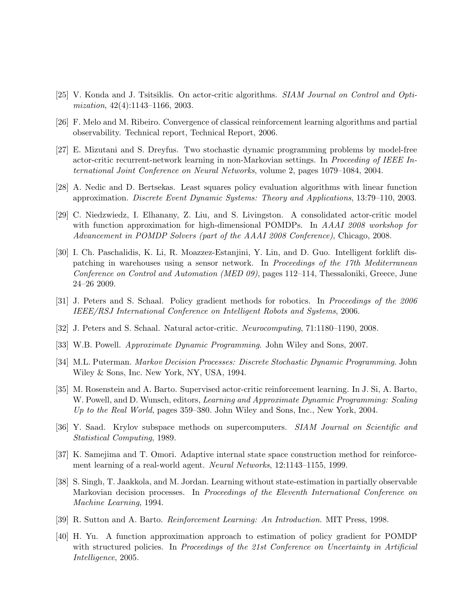- <span id="page-25-11"></span><span id="page-25-7"></span>[25] V. Konda and J. Tsitsiklis. On actor-critic algorithms. *SIAM Journal on Control and Optimization*, 42(4):1143–1166, 2003.
- [26] F. Melo and M. Ribeiro. Convergence of classical reinforcement learning algorithms and partial observability. Technical report, Technical Report, 2006.
- <span id="page-25-2"></span>[27] E. Mizutani and S. Dreyfus. Two stochastic dynamic programming problems by model-free actor-critic recurrent-network learning in non-Markovian settings. In *Proceeding of IEEE International Joint Conference on Neural Networks*, volume 2, pages 1079–1084, 2004.
- <span id="page-25-8"></span>[28] A. Nedic and D. Bertsekas. Least squares policy evaluation algorithms with linear function approximation. *Discrete Event Dynamic Systems: Theory and Applications*, 13:79–110, 2003.
- <span id="page-25-3"></span>[29] C. Niedzwiedz, I. Elhanany, Z. Liu, and S. Livingston. A consolidated actor-critic model with function approximation for high-dimensional POMDPs. In *AAAI 2008 workshop for Advancement in POMDP Solvers (part of the AAAI 2008 Conference)*, Chicago, 2008.
- <span id="page-25-15"></span>[30] I. Ch. Paschalidis, K. Li, R. Moazzez-Estanjini, Y. Lin, and D. Guo. Intelligent forklift dispatching in warehouses using a sensor network. In *Proceedings of the 17th Mediterranean Conference on Control and Automation (MED 09)*, pages 112–114, Thessaloniki, Greece, June 24–26 2009.
- <span id="page-25-5"></span>[31] J. Peters and S. Schaal. Policy gradient methods for robotics. In *Proceedings of the 2006 IEEE/RSJ International Conference on Intelligent Robots and Systems*, 2006.
- <span id="page-25-10"></span><span id="page-25-0"></span>[32] J. Peters and S. Schaal. Natural actor-critic. *Neurocomputing*, 71:1180–1190, 2008.
- <span id="page-25-9"></span>[33] W.B. Powell. *Approximate Dynamic Programming*. John Wiley and Sons, 2007.
- [34] M.L. Puterman. *Markov Decision Processes: Discrete Stochastic Dynamic Programming*. John Wiley & Sons, Inc. New York, NY, USA, 1994.
- <span id="page-25-4"></span>[35] M. Rosenstein and A. Barto. Supervised actor-critic reinforcement learning. In J. Si, A. Barto, W. Powell, and D. Wunsch, editors, *Learning and Approximate Dynamic Programming: Scaling Up to the Real World*, pages 359–380. John Wiley and Sons, Inc., New York, 2004.
- <span id="page-25-14"></span>[36] Y. Saad. Krylov subspace methods on supercomputers. *SIAM Journal on Scientific and Statistical Computing*, 1989.
- <span id="page-25-6"></span>[37] K. Samejima and T. Omori. Adaptive internal state space construction method for reinforcement learning of a real-world agent. *Neural Networks*, 12:1143–1155, 1999.
- <span id="page-25-12"></span>[38] S. Singh, T. Jaakkola, and M. Jordan. Learning without state-estimation in partially observable Markovian decision processes. In *Proceedings of the Eleventh International Conference on Machine Learning*, 1994.
- <span id="page-25-13"></span><span id="page-25-1"></span>[39] R. Sutton and A. Barto. *Reinforcement Learning: An Introduction*. MIT Press, 1998.
- [40] H. Yu. A function approximation approach to estimation of policy gradient for POMDP with structured policies. In *Proceedings of the 21st Conference on Uncertainty in Artificial Intelligence*, 2005.